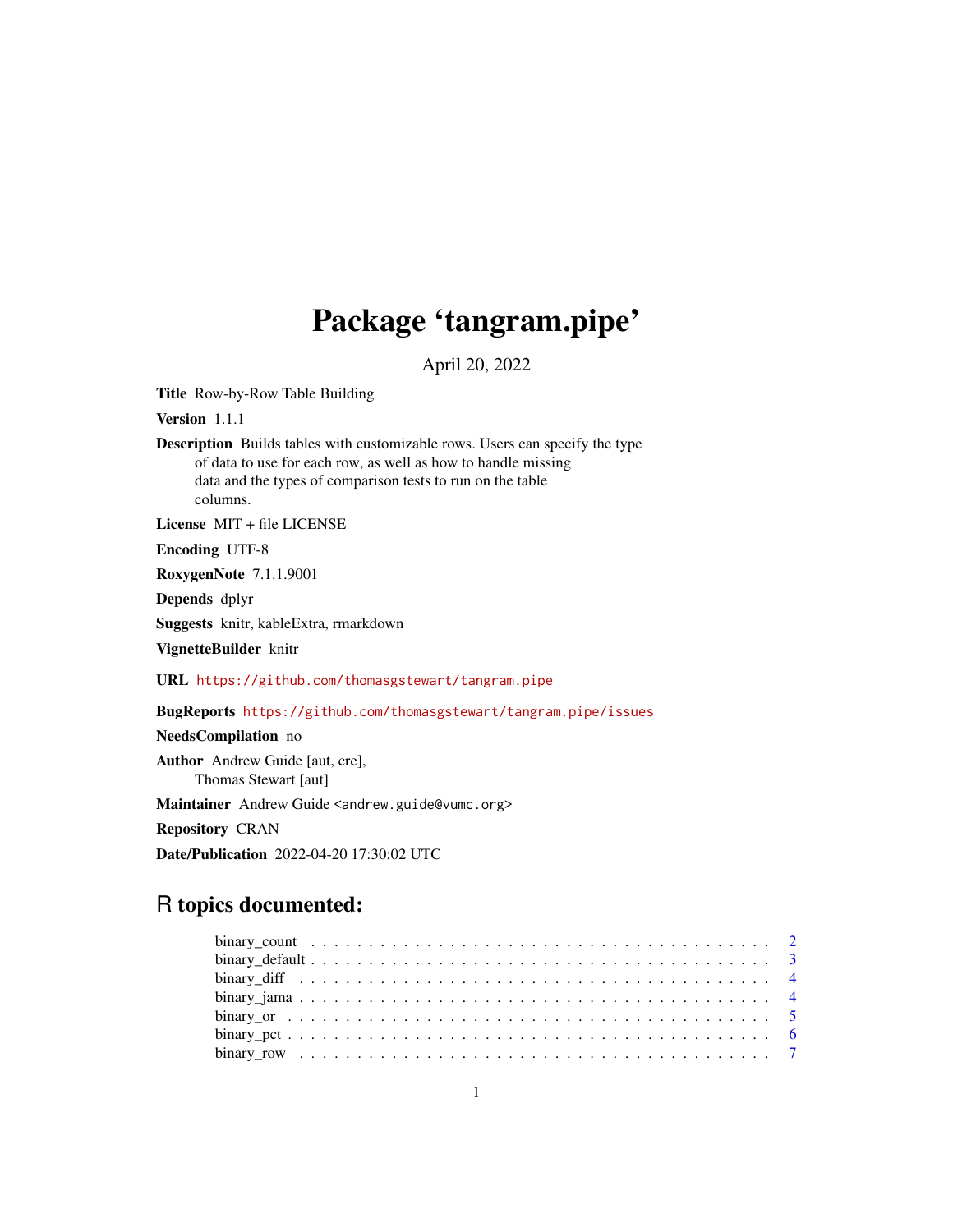# Package 'tangram.pipe'

April 20, 2022

Title Row-by-Row Table Building

Version 1.1.1

Description Builds tables with customizable rows. Users can specify the type of data to use for each row, as well as how to handle missing data and the types of comparison tests to run on the table columns.

License MIT + file LICENSE

Encoding UTF-8

RoxygenNote 7.1.1.9001

Depends dplyr

Suggests knitr, kableExtra, rmarkdown

VignetteBuilder knitr

URL <https://github.com/thomasgstewart/tangram.pipe>

BugReports <https://github.com/thomasgstewart/tangram.pipe/issues>

NeedsCompilation no

Author Andrew Guide [aut, cre], Thomas Stewart [aut]

Maintainer Andrew Guide <andrew.guide@vumc.org>

Repository CRAN

Date/Publication 2022-04-20 17:30:02 UTC

# R topics documented: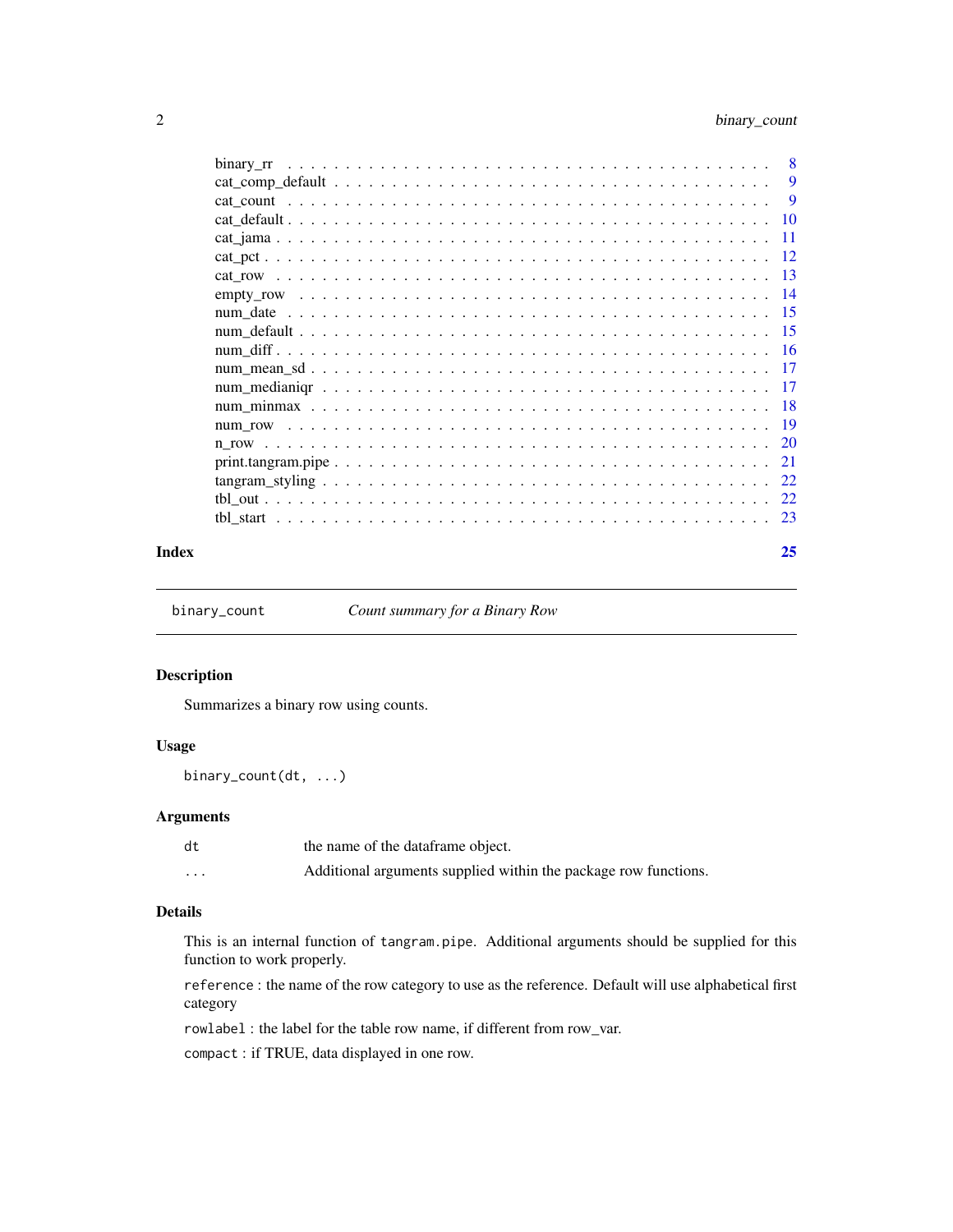<span id="page-1-0"></span>

|                                                                                                                      | 8             |
|----------------------------------------------------------------------------------------------------------------------|---------------|
|                                                                                                                      | 9             |
|                                                                                                                      | <b>9</b>      |
|                                                                                                                      |               |
|                                                                                                                      | -11           |
|                                                                                                                      | -12           |
|                                                                                                                      |               |
|                                                                                                                      |               |
|                                                                                                                      |               |
|                                                                                                                      |               |
|                                                                                                                      |               |
|                                                                                                                      |               |
|                                                                                                                      |               |
|                                                                                                                      |               |
|                                                                                                                      |               |
|                                                                                                                      | <sup>20</sup> |
| $print.tangram.pipe \dots \dots \dots \dots \dots \dots \dots \dots \dots \dots \dots \dots \dots \dots \dots \dots$ | 21            |
|                                                                                                                      | 22            |
|                                                                                                                      | 22            |
|                                                                                                                      | 23            |
|                                                                                                                      |               |

#### **Index** [25](#page-24-0)

<span id="page-1-1"></span>binary\_count *Count summary for a Binary Row*

# Description

Summarizes a binary row using counts.

# Usage

binary\_count(dt, ...)

# Arguments

| dt       | the name of the dataframe object.                               |
|----------|-----------------------------------------------------------------|
| $\cdots$ | Additional arguments supplied within the package row functions. |

# Details

This is an internal function of tangram.pipe. Additional arguments should be supplied for this function to work properly.

reference : the name of the row category to use as the reference. Default will use alphabetical first category

rowlabel : the label for the table row name, if different from row\_var.

compact : if TRUE, data displayed in one row.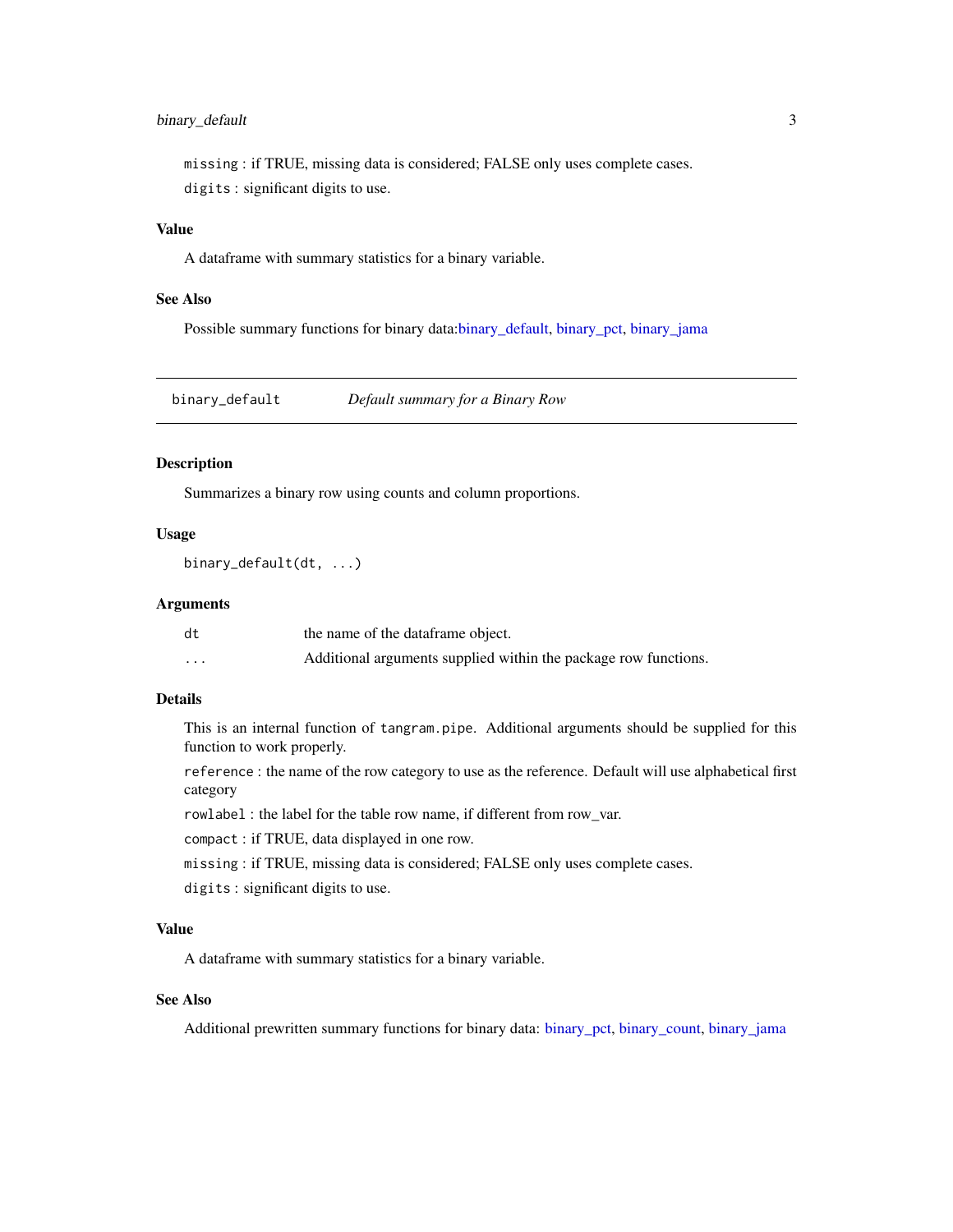# <span id="page-2-0"></span>binary\_default 3

missing : if TRUE, missing data is considered; FALSE only uses complete cases. digits : significant digits to use.

# Value

A dataframe with summary statistics for a binary variable.

# See Also

Possible summary functions for binary data[:binary\\_default,](#page-2-1) [binary\\_pct,](#page-5-1) [binary\\_jama](#page-3-1)

<span id="page-2-1"></span>binary\_default *Default summary for a Binary Row*

#### Description

Summarizes a binary row using counts and column proportions.

#### Usage

binary\_default(dt, ...)

#### Arguments

| dt                      | the name of the dataframe object.                               |
|-------------------------|-----------------------------------------------------------------|
| $\cdot$ $\cdot$ $\cdot$ | Additional arguments supplied within the package row functions. |

# Details

This is an internal function of tangram.pipe. Additional arguments should be supplied for this function to work properly.

reference : the name of the row category to use as the reference. Default will use alphabetical first category

rowlabel : the label for the table row name, if different from row\_var.

compact : if TRUE, data displayed in one row.

- missing : if TRUE, missing data is considered; FALSE only uses complete cases.
- digits : significant digits to use.

# Value

A dataframe with summary statistics for a binary variable.

# See Also

Additional prewritten summary functions for binary data: [binary\\_pct,](#page-5-1) [binary\\_count,](#page-1-1) [binary\\_jama](#page-3-1)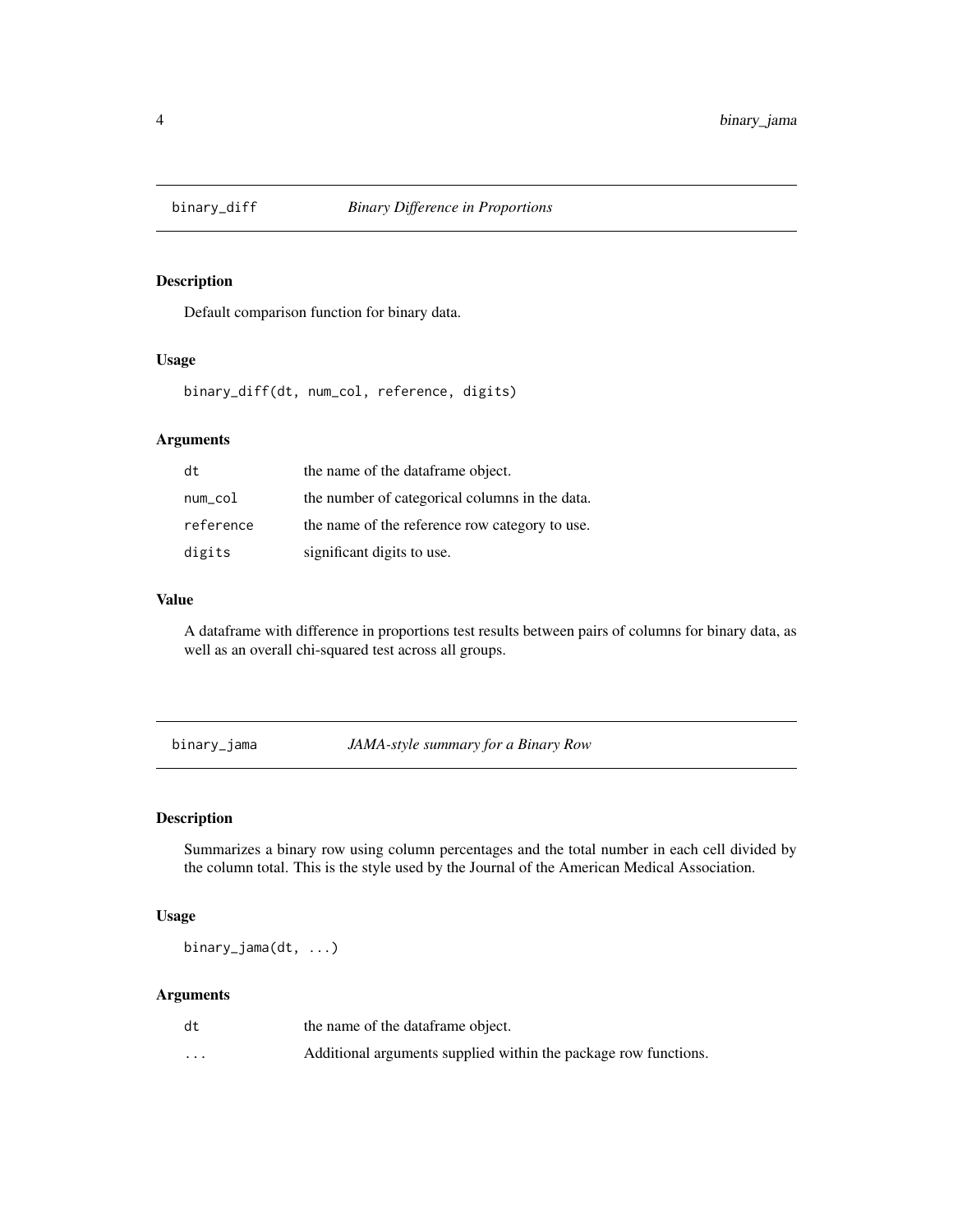<span id="page-3-0"></span>

Default comparison function for binary data.

# Usage

binary\_diff(dt, num\_col, reference, digits)

# Arguments

| dt        | the name of the dataframe object.              |
|-----------|------------------------------------------------|
| num_col   | the number of categorical columns in the data. |
| reference | the name of the reference row category to use. |
| digits    | significant digits to use.                     |

# Value

A dataframe with difference in proportions test results between pairs of columns for binary data, as well as an overall chi-squared test across all groups.

<span id="page-3-1"></span>binary\_jama *JAMA-style summary for a Binary Row*

# Description

Summarizes a binary row using column percentages and the total number in each cell divided by the column total. This is the style used by the Journal of the American Medical Association.

# Usage

binary\_jama(dt, ...)

| dt       | the name of the dataframe object.                               |
|----------|-----------------------------------------------------------------|
| $\cdots$ | Additional arguments supplied within the package row functions. |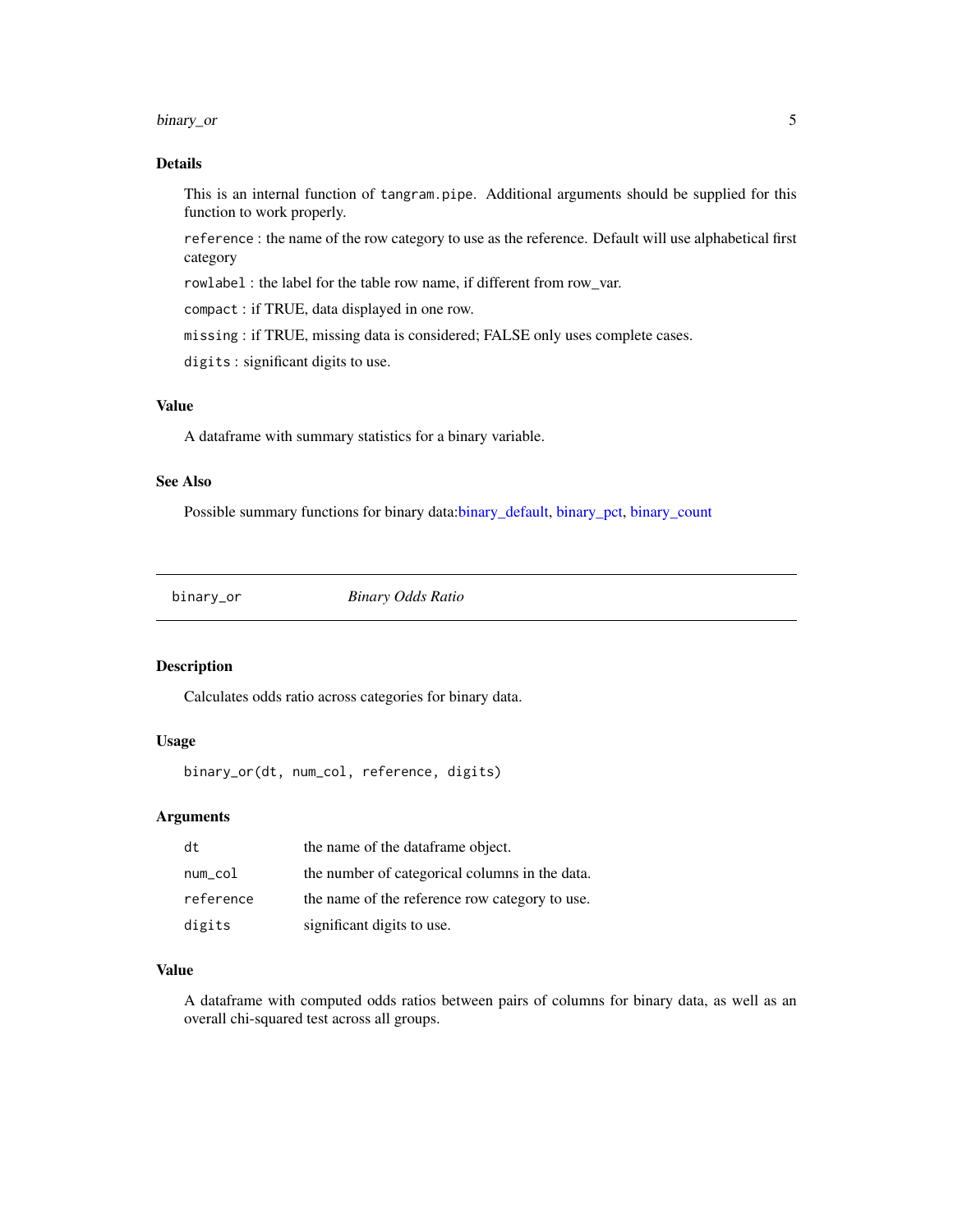#### <span id="page-4-0"></span>binary\_or 5

# Details

This is an internal function of tangram.pipe. Additional arguments should be supplied for this function to work properly.

reference : the name of the row category to use as the reference. Default will use alphabetical first category

rowlabel : the label for the table row name, if different from row\_var.

compact : if TRUE, data displayed in one row.

missing : if TRUE, missing data is considered; FALSE only uses complete cases.

digits : significant digits to use.

# Value

A dataframe with summary statistics for a binary variable.

# See Also

Possible summary functions for binary data[:binary\\_default,](#page-2-1) [binary\\_pct,](#page-5-1) [binary\\_count](#page-1-1)

binary\_or *Binary Odds Ratio*

# Description

Calculates odds ratio across categories for binary data.

# Usage

binary\_or(dt, num\_col, reference, digits)

#### **Arguments**

| dt        | the name of the dataframe object.              |
|-----------|------------------------------------------------|
| num_col   | the number of categorical columns in the data. |
| reference | the name of the reference row category to use. |
| digits    | significant digits to use.                     |

#### Value

A dataframe with computed odds ratios between pairs of columns for binary data, as well as an overall chi-squared test across all groups.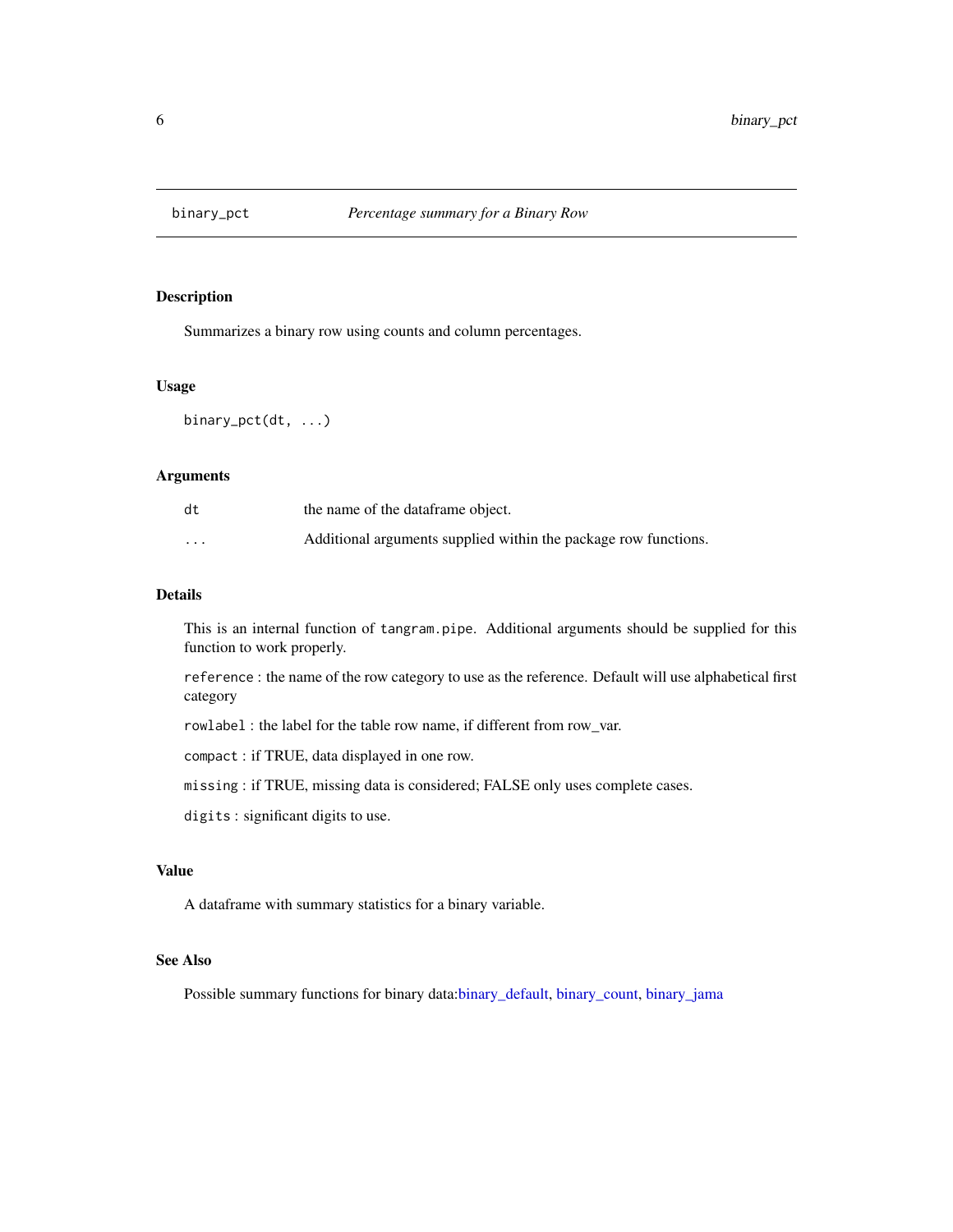<span id="page-5-1"></span><span id="page-5-0"></span>

Summarizes a binary row using counts and column percentages.

# Usage

binary\_pct(dt, ...)

# Arguments

| dt       | the name of the dataframe object.                               |
|----------|-----------------------------------------------------------------|
| $\cdots$ | Additional arguments supplied within the package row functions. |

# Details

This is an internal function of tangram.pipe. Additional arguments should be supplied for this function to work properly.

reference : the name of the row category to use as the reference. Default will use alphabetical first category

rowlabel : the label for the table row name, if different from row\_var.

compact : if TRUE, data displayed in one row.

missing : if TRUE, missing data is considered; FALSE only uses complete cases.

digits : significant digits to use.

# Value

A dataframe with summary statistics for a binary variable.

# See Also

Possible summary functions for binary data[:binary\\_default,](#page-2-1) [binary\\_count,](#page-1-1) [binary\\_jama](#page-3-1)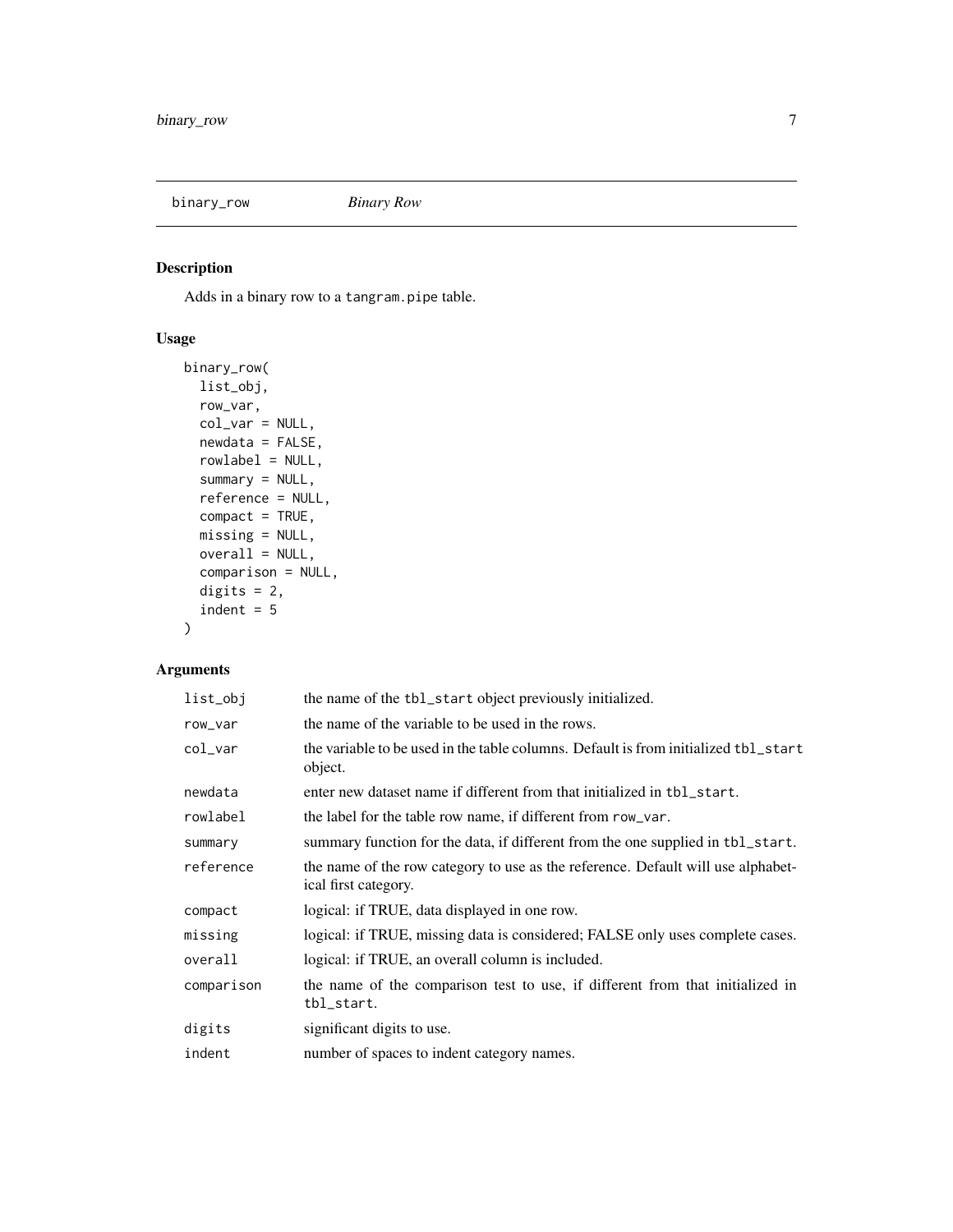<span id="page-6-1"></span><span id="page-6-0"></span>binary\_row *Binary Row*

# Description

Adds in a binary row to a tangram.pipe table.

# Usage

```
binary_row(
 list_obj,
 row_var,
 col_var = NULL,
 newdata = FALSE,rowlabel = NULL,
 summary = NULL,
 reference = NULL,
 compact = TRUE,missing = NULL,
 overall = NULL,
 comparison = NULL,
 digits = 2,
  indent = 5)
```

| list_obj   | the name of the tbl_start object previously initialized.                                                 |
|------------|----------------------------------------------------------------------------------------------------------|
| row_var    | the name of the variable to be used in the rows.                                                         |
| col_var    | the variable to be used in the table columns. Default is from initialized tbl_start<br>object.           |
| newdata    | enter new dataset name if different from that initialized in tbl_start.                                  |
| rowlabel   | the label for the table row name, if different from row_var.                                             |
| summary    | summary function for the data, if different from the one supplied in tbl_start.                          |
| reference  | the name of the row category to use as the reference. Default will use alphabet-<br>ical first category. |
| compact    | logical: if TRUE, data displayed in one row.                                                             |
| missing    | logical: if TRUE, missing data is considered; FALSE only uses complete cases.                            |
| overall    | logical: if TRUE, an overall column is included.                                                         |
| comparison | the name of the comparison test to use, if different from that initialized in<br>tbl_start.              |
| digits     | significant digits to use.                                                                               |
| indent     | number of spaces to indent category names.                                                               |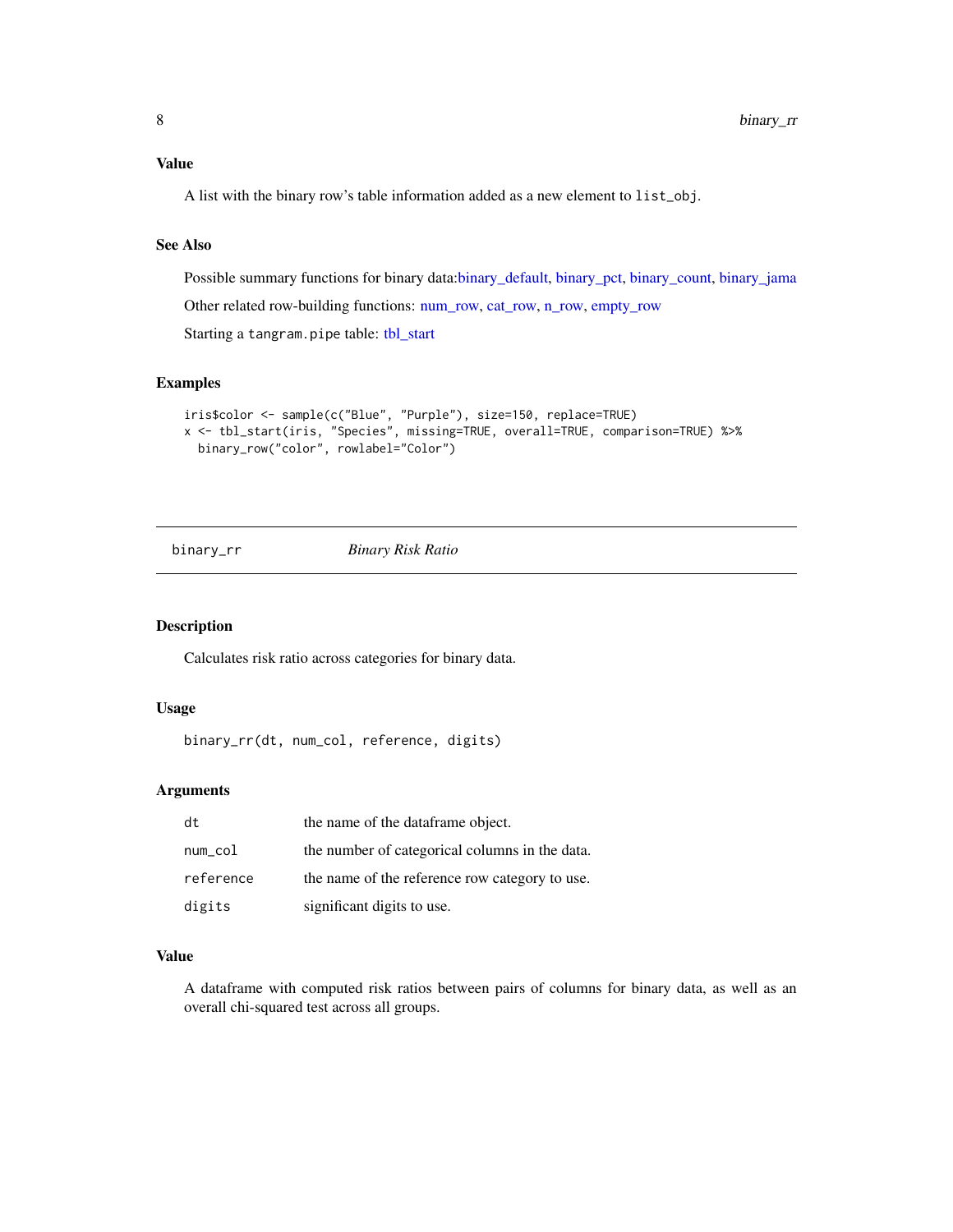<span id="page-7-0"></span>Value

A list with the binary row's table information added as a new element to list\_obj.

#### See Also

Possible summary functions for binary data[:binary\\_default,](#page-2-1) [binary\\_pct,](#page-5-1) [binary\\_count,](#page-1-1) [binary\\_jama](#page-3-1) Other related row-building functions: [num\\_row,](#page-18-1) [cat\\_row,](#page-12-1) [n\\_row,](#page-19-1) [empty\\_row](#page-13-1) Starting a tangram.pipe table: [tbl\\_start](#page-22-1)

# Examples

```
iris$color <- sample(c("Blue", "Purple"), size=150, replace=TRUE)
x <- tbl_start(iris, "Species", missing=TRUE, overall=TRUE, comparison=TRUE) %>%
 binary_row("color", rowlabel="Color")
```

```
binary_rr Binary Risk Ratio
```
# Description

Calculates risk ratio across categories for binary data.

#### Usage

```
binary_rr(dt, num_col, reference, digits)
```
# Arguments

| dt        | the name of the dataframe object.              |
|-----------|------------------------------------------------|
| num_col   | the number of categorical columns in the data. |
| reference | the name of the reference row category to use. |
| digits    | significant digits to use.                     |

#### Value

A dataframe with computed risk ratios between pairs of columns for binary data, as well as an overall chi-squared test across all groups.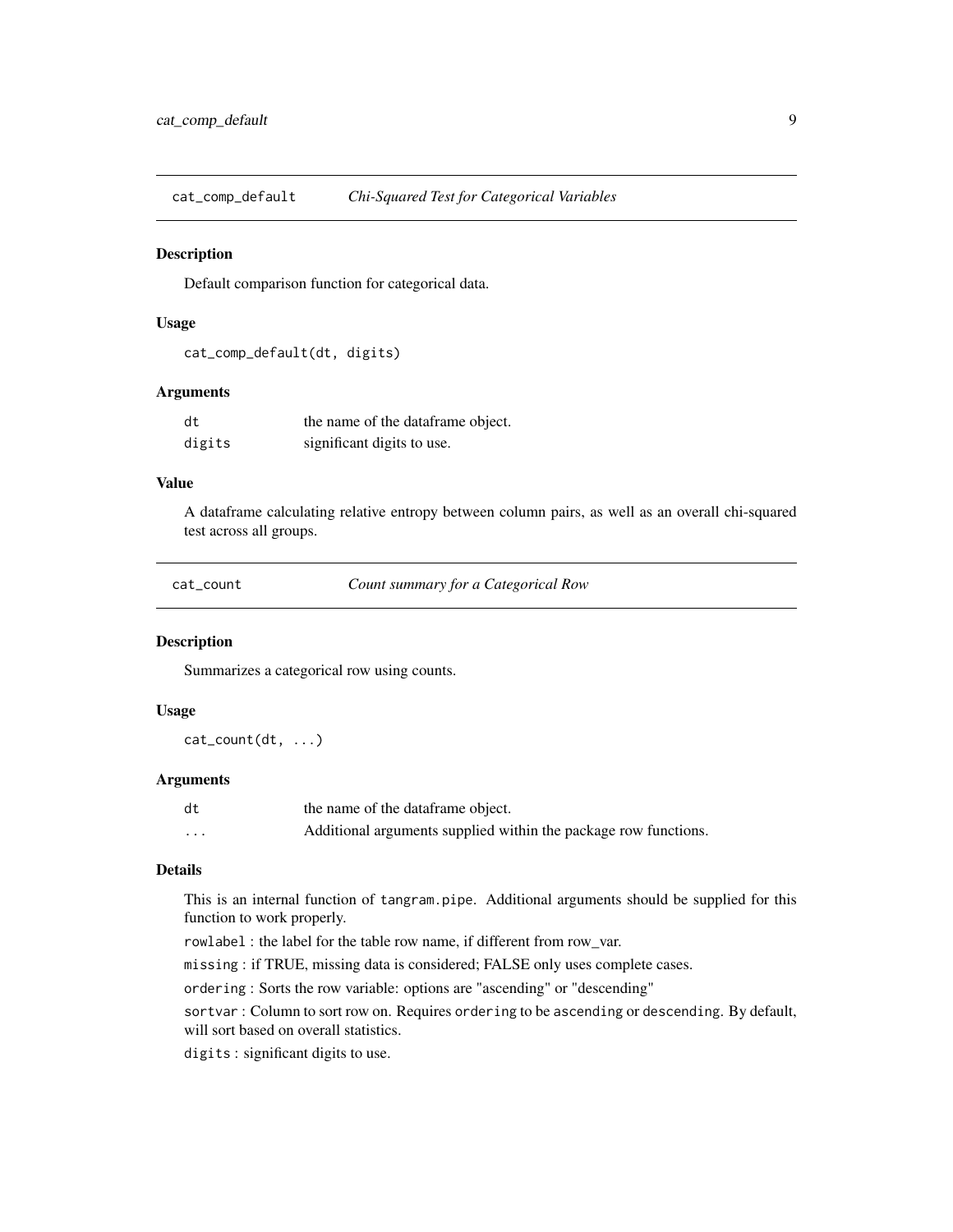<span id="page-8-0"></span>cat\_comp\_default *Chi-Squared Test for Categorical Variables*

#### Description

Default comparison function for categorical data.

# Usage

```
cat_comp_default(dt, digits)
```
### Arguments

| dt     | the name of the dataframe object. |
|--------|-----------------------------------|
| digits | significant digits to use.        |

# Value

A dataframe calculating relative entropy between column pairs, as well as an overall chi-squared test across all groups.

<span id="page-8-1"></span>cat\_count *Count summary for a Categorical Row*

# Description

Summarizes a categorical row using counts.

#### Usage

cat\_count(dt, ...)

#### Arguments

| dt       | the name of the dataframe object.                               |
|----------|-----------------------------------------------------------------|
| $\cdots$ | Additional arguments supplied within the package row functions. |

#### Details

This is an internal function of tangram.pipe. Additional arguments should be supplied for this function to work properly.

rowlabel : the label for the table row name, if different from row\_var.

missing : if TRUE, missing data is considered; FALSE only uses complete cases.

ordering : Sorts the row variable: options are "ascending" or "descending"

sortvar : Column to sort row on. Requires ordering to be ascending or descending. By default, will sort based on overall statistics.

digits : significant digits to use.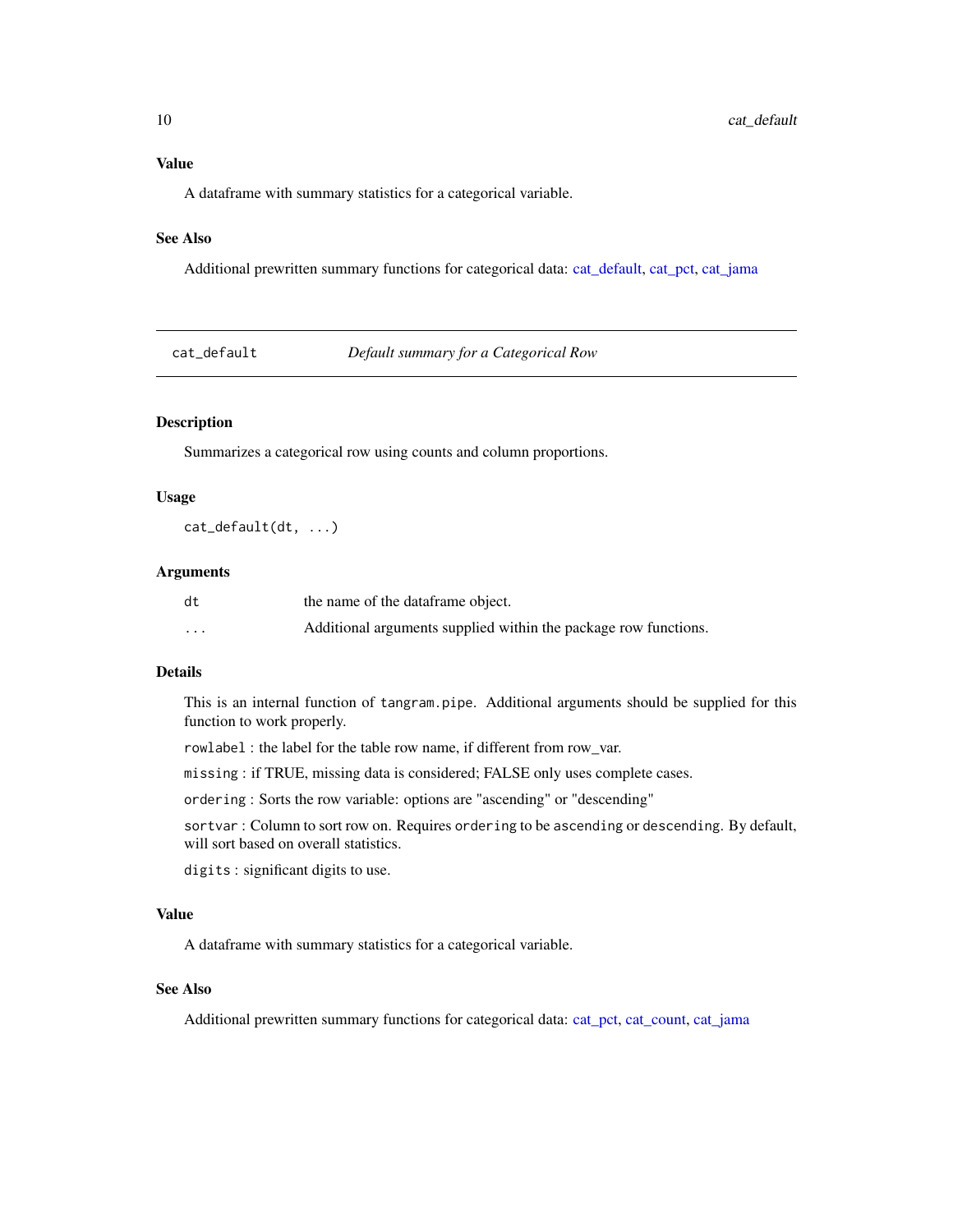# <span id="page-9-0"></span>Value

A dataframe with summary statistics for a categorical variable.

# See Also

Additional prewritten summary functions for categorical data: [cat\\_default,](#page-9-1) [cat\\_pct,](#page-11-1) [cat\\_jama](#page-10-1)

<span id="page-9-1"></span>cat\_default *Default summary for a Categorical Row*

# Description

Summarizes a categorical row using counts and column proportions.

#### Usage

cat\_default(dt, ...)

# Arguments

| dt       | the name of the dataframe object.                               |
|----------|-----------------------------------------------------------------|
| $\cdots$ | Additional arguments supplied within the package row functions. |

#### Details

This is an internal function of tangram.pipe. Additional arguments should be supplied for this function to work properly.

rowlabel : the label for the table row name, if different from row\_var.

missing : if TRUE, missing data is considered; FALSE only uses complete cases.

ordering : Sorts the row variable: options are "ascending" or "descending"

sortvar : Column to sort row on. Requires ordering to be ascending or descending. By default, will sort based on overall statistics.

digits : significant digits to use.

# Value

A dataframe with summary statistics for a categorical variable.

#### See Also

Additional prewritten summary functions for categorical data: [cat\\_pct,](#page-11-1) [cat\\_count,](#page-8-1) [cat\\_jama](#page-10-1)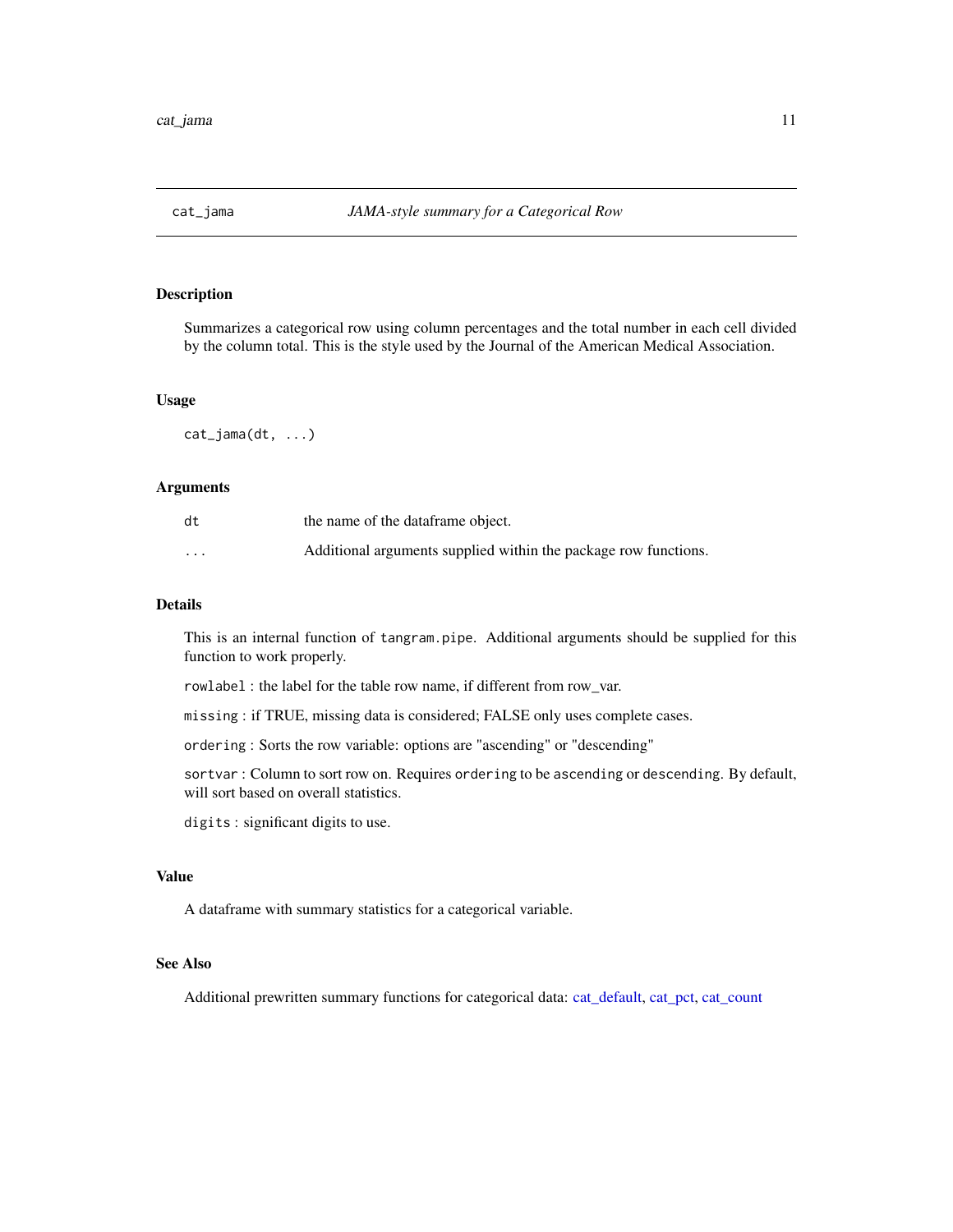<span id="page-10-1"></span><span id="page-10-0"></span>

Summarizes a categorical row using column percentages and the total number in each cell divided by the column total. This is the style used by the Journal of the American Medical Association.

#### Usage

cat\_jama(dt, ...)

# Arguments

| dt       | the name of the dataframe object.                               |
|----------|-----------------------------------------------------------------|
| $\cdots$ | Additional arguments supplied within the package row functions. |

# Details

This is an internal function of tangram.pipe. Additional arguments should be supplied for this function to work properly.

rowlabel : the label for the table row name, if different from row\_var.

missing : if TRUE, missing data is considered; FALSE only uses complete cases.

ordering : Sorts the row variable: options are "ascending" or "descending"

sortvar : Column to sort row on. Requires ordering to be ascending or descending. By default, will sort based on overall statistics.

digits : significant digits to use.

## Value

A dataframe with summary statistics for a categorical variable.

# See Also

Additional prewritten summary functions for categorical data: [cat\\_default,](#page-9-1) [cat\\_pct,](#page-11-1) [cat\\_count](#page-8-1)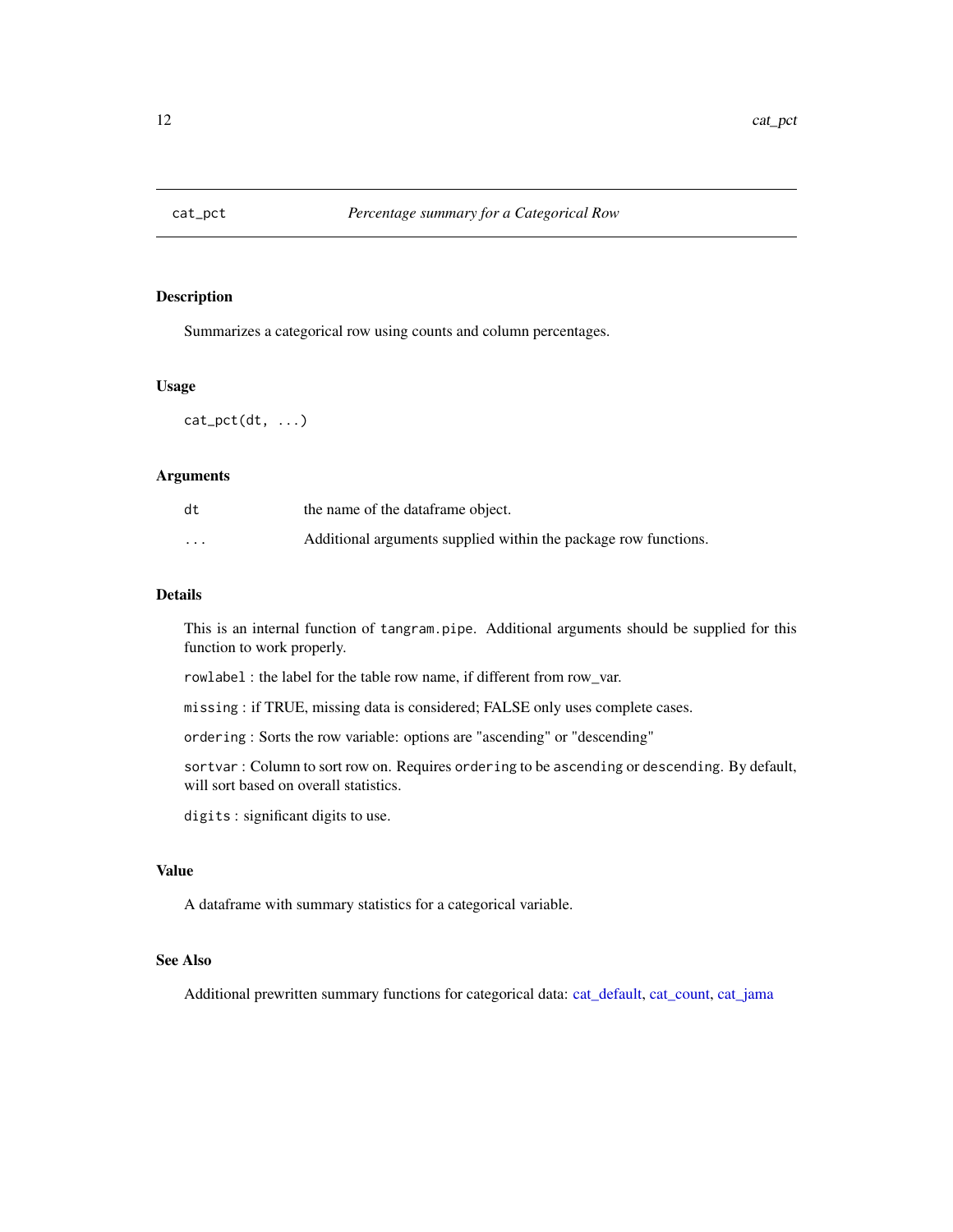<span id="page-11-1"></span><span id="page-11-0"></span>

Summarizes a categorical row using counts and column percentages.

#### Usage

 $cat\_pet(dt, \ldots)$ 

# Arguments

| dt       | the name of the dataframe object.                               |
|----------|-----------------------------------------------------------------|
| $\cdots$ | Additional arguments supplied within the package row functions. |

#### Details

This is an internal function of tangram.pipe. Additional arguments should be supplied for this function to work properly.

rowlabel : the label for the table row name, if different from row\_var.

missing : if TRUE, missing data is considered; FALSE only uses complete cases.

ordering : Sorts the row variable: options are "ascending" or "descending"

sortvar : Column to sort row on. Requires ordering to be ascending or descending. By default, will sort based on overall statistics.

digits : significant digits to use.

# Value

A dataframe with summary statistics for a categorical variable.

# See Also

Additional prewritten summary functions for categorical data: [cat\\_default,](#page-9-1) [cat\\_count,](#page-8-1) [cat\\_jama](#page-10-1)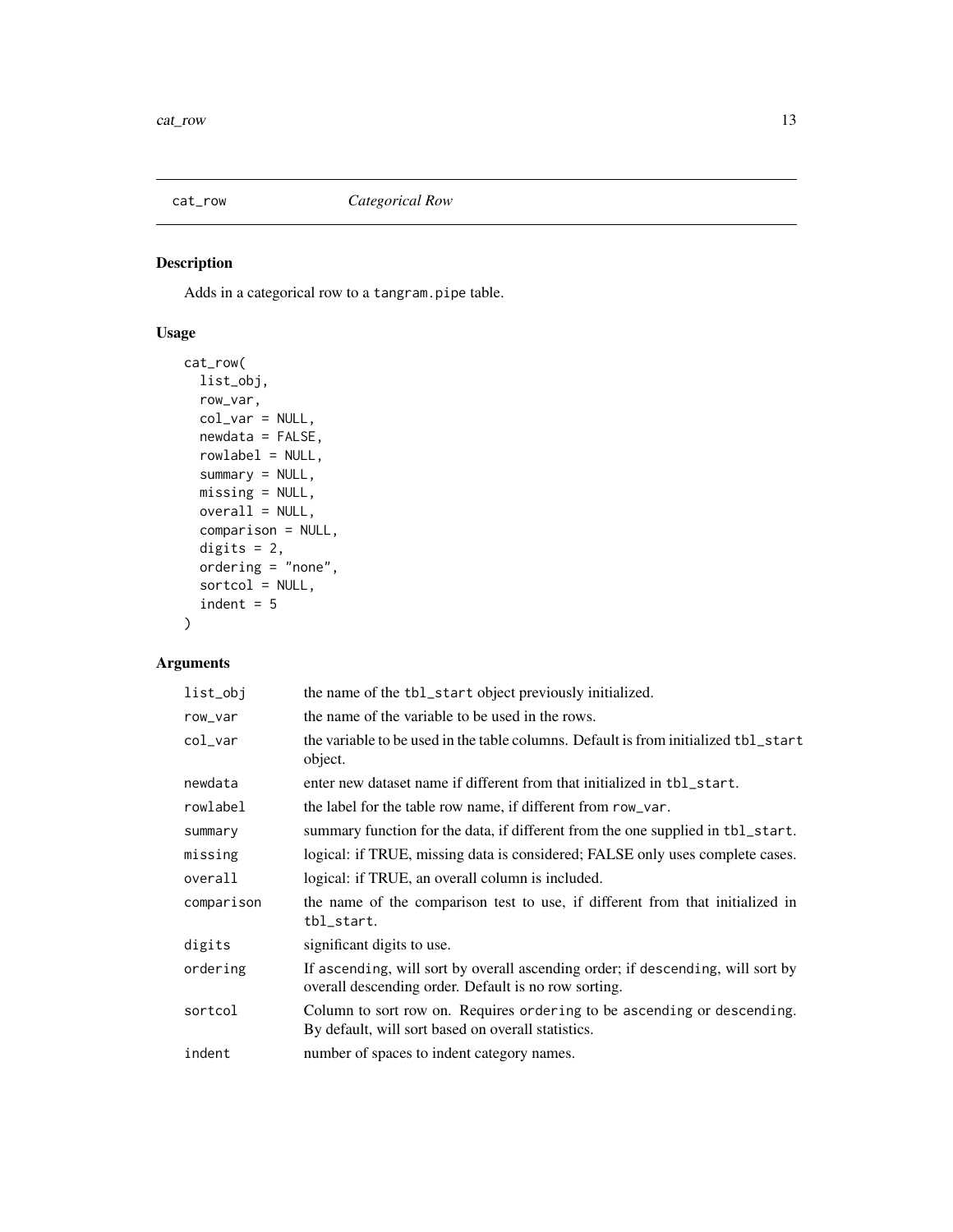<span id="page-12-1"></span><span id="page-12-0"></span>

Adds in a categorical row to a tangram.pipe table.

# Usage

```
cat_row(
 list_obj,
 row_var,
 col_var = NULL,
 newdata = FALSE,
 rowlabel = NULL,
  summary = NULL,
 missing = NULL,
 overall = NULL,
  comparison = NULL,
 digits = 2,
 ordering = "none",
  sortcol = NULL,
  indent = 5)
```

| list_obj   | the name of the tbl_start object previously initialized.                                                                                |
|------------|-----------------------------------------------------------------------------------------------------------------------------------------|
| row_var    | the name of the variable to be used in the rows.                                                                                        |
| $col\_var$ | the variable to be used in the table columns. Default is from initialized tbl_start<br>object.                                          |
| newdata    | enter new dataset name if different from that initialized in tbl_start.                                                                 |
| rowlabel   | the label for the table row name, if different from row_var.                                                                            |
| summary    | summary function for the data, if different from the one supplied in tbl_start.                                                         |
| missing    | logical: if TRUE, missing data is considered; FALSE only uses complete cases.                                                           |
| overall    | logical: if TRUE, an overall column is included.                                                                                        |
| comparison | the name of the comparison test to use, if different from that initialized in<br>tbl_start.                                             |
| digits     | significant digits to use.                                                                                                              |
| ordering   | If ascending, will sort by overall ascending order; if descending, will sort by<br>overall descending order. Default is no row sorting. |
| sortcol    | Column to sort row on. Requires ordering to be ascending or descending.<br>By default, will sort based on overall statistics.           |
| indent     | number of spaces to indent category names.                                                                                              |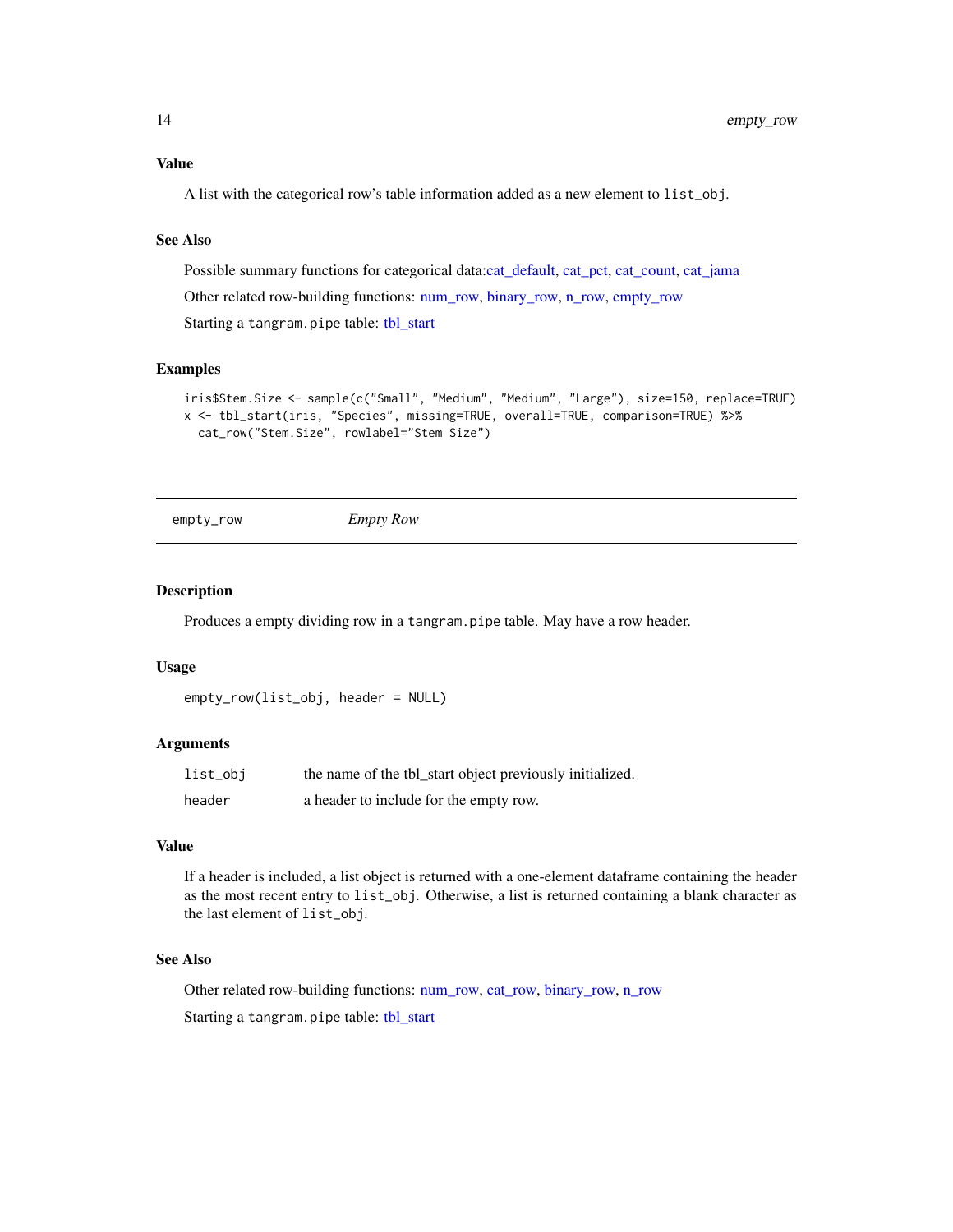<span id="page-13-0"></span>A list with the categorical row's table information added as a new element to list\_obj.

# See Also

Possible summary functions for categorical data[:cat\\_default,](#page-9-1) [cat\\_pct,](#page-11-1) [cat\\_count,](#page-8-1) [cat\\_jama](#page-10-1)

Other related row-building functions: [num\\_row,](#page-18-1) [binary\\_row,](#page-6-1) [n\\_row,](#page-19-1) [empty\\_row](#page-13-1)

Starting a tangram.pipe table: [tbl\\_start](#page-22-1)

#### Examples

```
iris$Stem.Size <- sample(c("Small", "Medium", "Medium", "Large"), size=150, replace=TRUE)
x <- tbl_start(iris, "Species", missing=TRUE, overall=TRUE, comparison=TRUE) %>%
  cat_row("Stem.Size", rowlabel="Stem Size")
```

```
empty_row Empty Row
```
# Description

Produces a empty dividing row in a tangram.pipe table. May have a row header.

# Usage

```
empty_row(list_obj, header = NULL)
```
# Arguments

| list_obj | the name of the tbl_start object previously initialized. |
|----------|----------------------------------------------------------|
| header   | a header to include for the empty row.                   |

# Value

If a header is included, a list object is returned with a one-element dataframe containing the header as the most recent entry to list\_obj. Otherwise, a list is returned containing a blank character as the last element of list\_obj.

# See Also

Other related row-building functions: [num\\_row,](#page-18-1) [cat\\_row,](#page-12-1) [binary\\_row,](#page-6-1) [n\\_row](#page-19-1)

Starting a tangram.pipe table: [tbl\\_start](#page-22-1)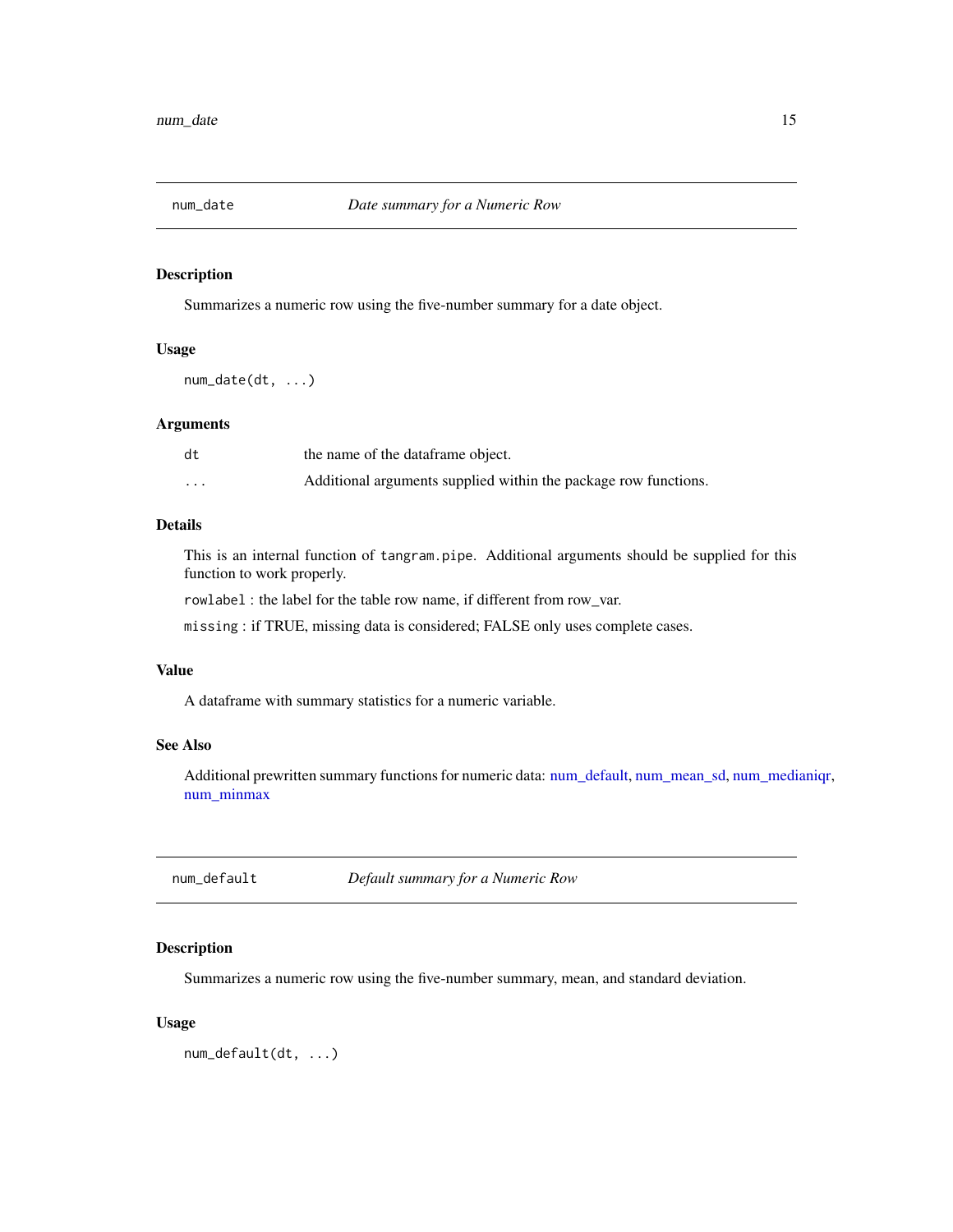<span id="page-14-2"></span><span id="page-14-0"></span>

Summarizes a numeric row using the five-number summary for a date object.

# Usage

num\_date(dt, ...)

#### Arguments

| dt                      | the name of the dataframe object.                               |
|-------------------------|-----------------------------------------------------------------|
| $\cdot$ $\cdot$ $\cdot$ | Additional arguments supplied within the package row functions. |

# Details

This is an internal function of tangram.pipe. Additional arguments should be supplied for this function to work properly.

rowlabel : the label for the table row name, if different from row\_var.

missing : if TRUE, missing data is considered; FALSE only uses complete cases.

#### Value

A dataframe with summary statistics for a numeric variable.

# See Also

Additional prewritten summary functions for numeric data: [num\\_default,](#page-14-1) [num\\_mean\\_sd,](#page-16-1) [num\\_medianiqr,](#page-16-2) [num\\_minmax](#page-17-1)

<span id="page-14-1"></span>num\_default *Default summary for a Numeric Row*

# Description

Summarizes a numeric row using the five-number summary, mean, and standard deviation.

#### Usage

num\_default(dt, ...)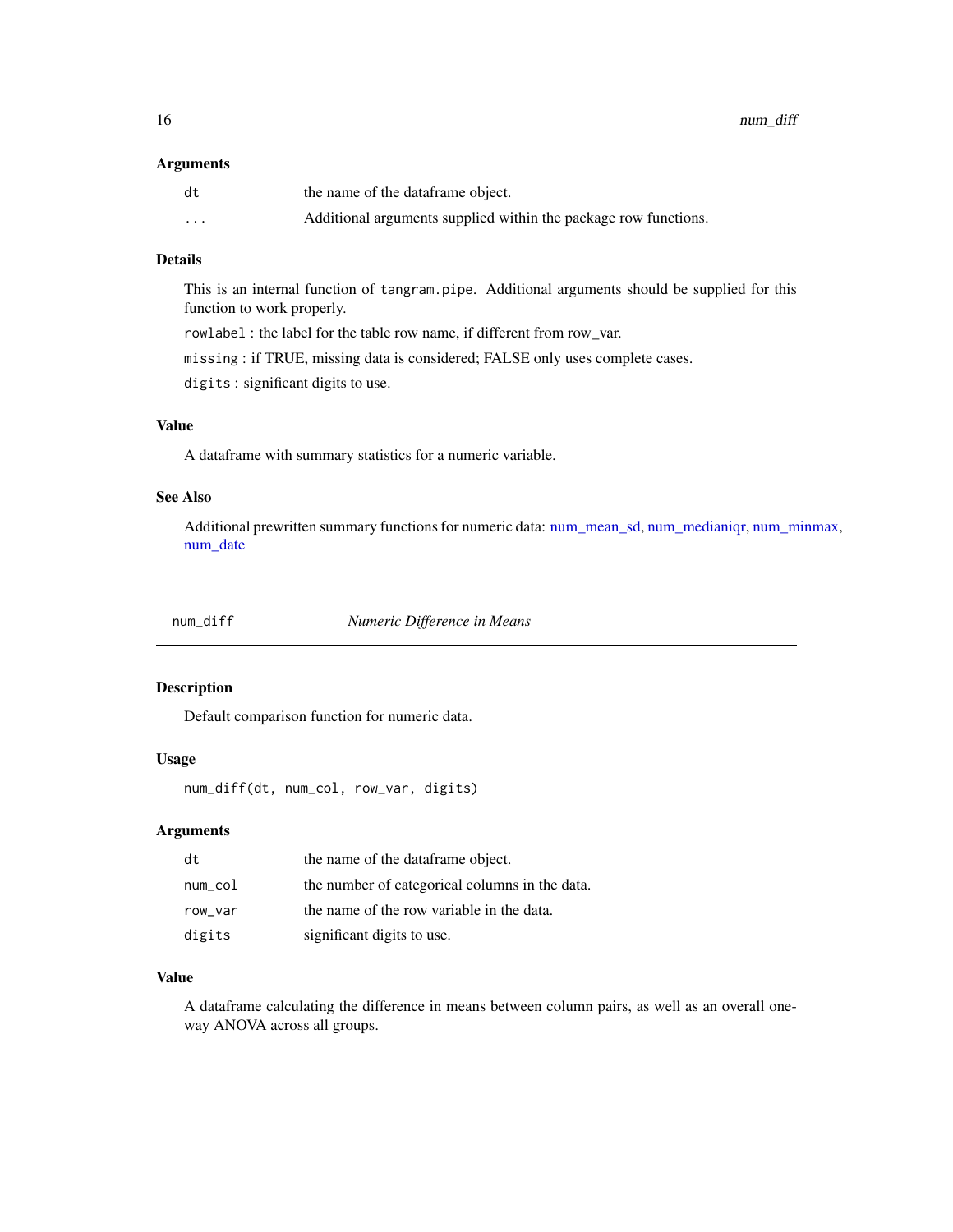#### <span id="page-15-0"></span>Arguments

| dt       | the name of the dataframe object.                               |
|----------|-----------------------------------------------------------------|
| $\cdots$ | Additional arguments supplied within the package row functions. |

# Details

This is an internal function of tangram.pipe. Additional arguments should be supplied for this function to work properly.

rowlabel : the label for the table row name, if different from row\_var.

missing : if TRUE, missing data is considered; FALSE only uses complete cases.

digits : significant digits to use.

#### Value

A dataframe with summary statistics for a numeric variable.

# See Also

Additional prewritten summary functions for numeric data: [num\\_mean\\_sd,](#page-16-1) [num\\_medianiqr,](#page-16-2) [num\\_minmax,](#page-17-1) [num\\_date](#page-14-2)

| num diff |  |
|----------|--|
|----------|--|

num\_diff *Numeric Difference in Means*

#### Description

Default comparison function for numeric data.

# Usage

num\_diff(dt, num\_col, row\_var, digits)

# Arguments

| dt      | the name of the dataframe object.              |
|---------|------------------------------------------------|
| num_col | the number of categorical columns in the data. |
| row var | the name of the row variable in the data.      |
| digits  | significant digits to use.                     |

# Value

A dataframe calculating the difference in means between column pairs, as well as an overall oneway ANOVA across all groups.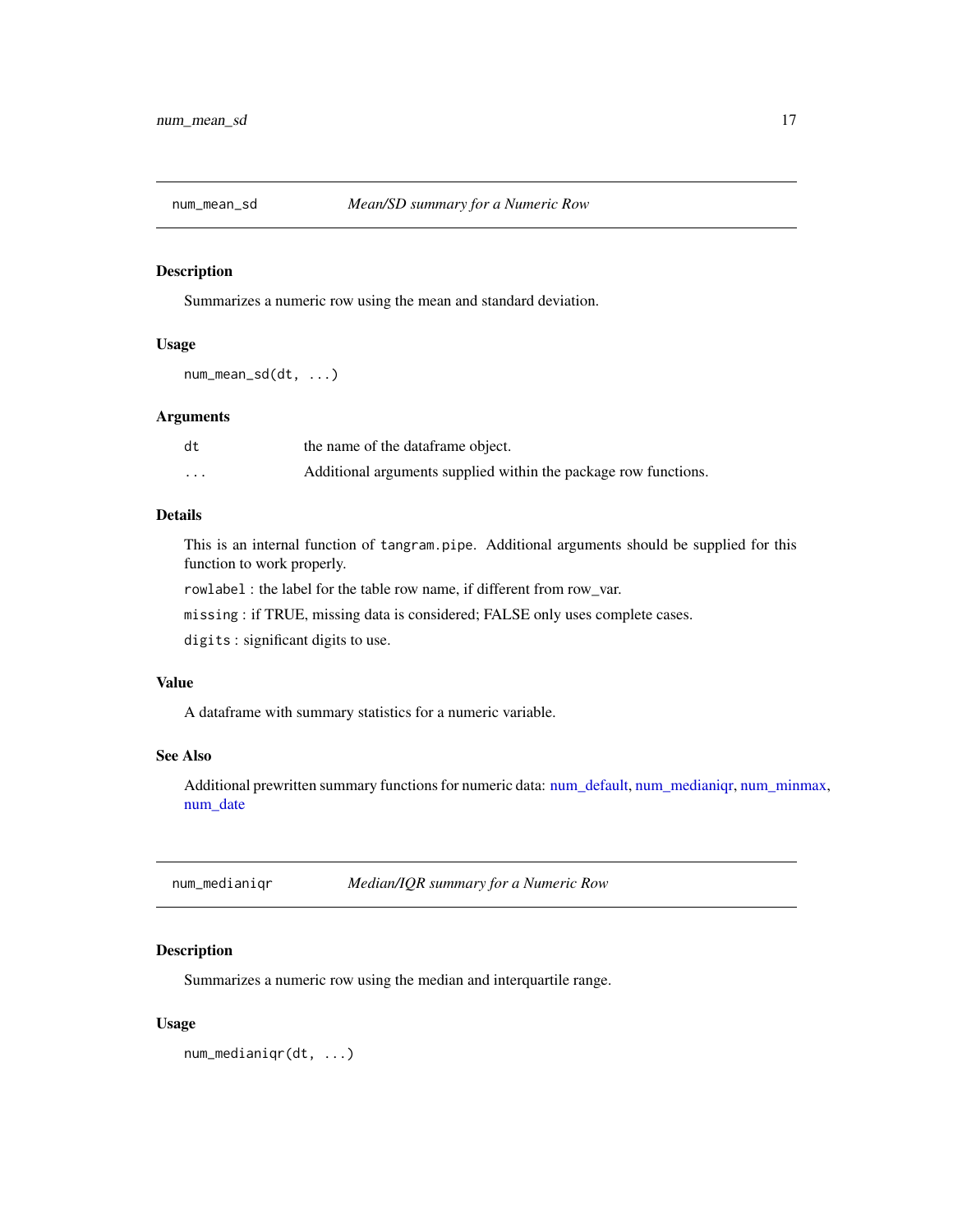<span id="page-16-1"></span><span id="page-16-0"></span>

Summarizes a numeric row using the mean and standard deviation.

#### Usage

num\_mean\_sd(dt, ...)

#### Arguments

| dt      | the name of the dataframe object.                               |
|---------|-----------------------------------------------------------------|
| $\cdot$ | Additional arguments supplied within the package row functions. |

# Details

This is an internal function of tangram.pipe. Additional arguments should be supplied for this function to work properly.

rowlabel : the label for the table row name, if different from row\_var.

missing : if TRUE, missing data is considered; FALSE only uses complete cases.

digits : significant digits to use.

# Value

A dataframe with summary statistics for a numeric variable.

#### See Also

Additional prewritten summary functions for numeric data: [num\\_default,](#page-14-1) [num\\_medianiqr,](#page-16-2) [num\\_minmax,](#page-17-1) [num\\_date](#page-14-2)

<span id="page-16-2"></span>num\_medianiqr *Median/IQR summary for a Numeric Row*

# Description

Summarizes a numeric row using the median and interquartile range.

#### Usage

num\_medianiqr(dt, ...)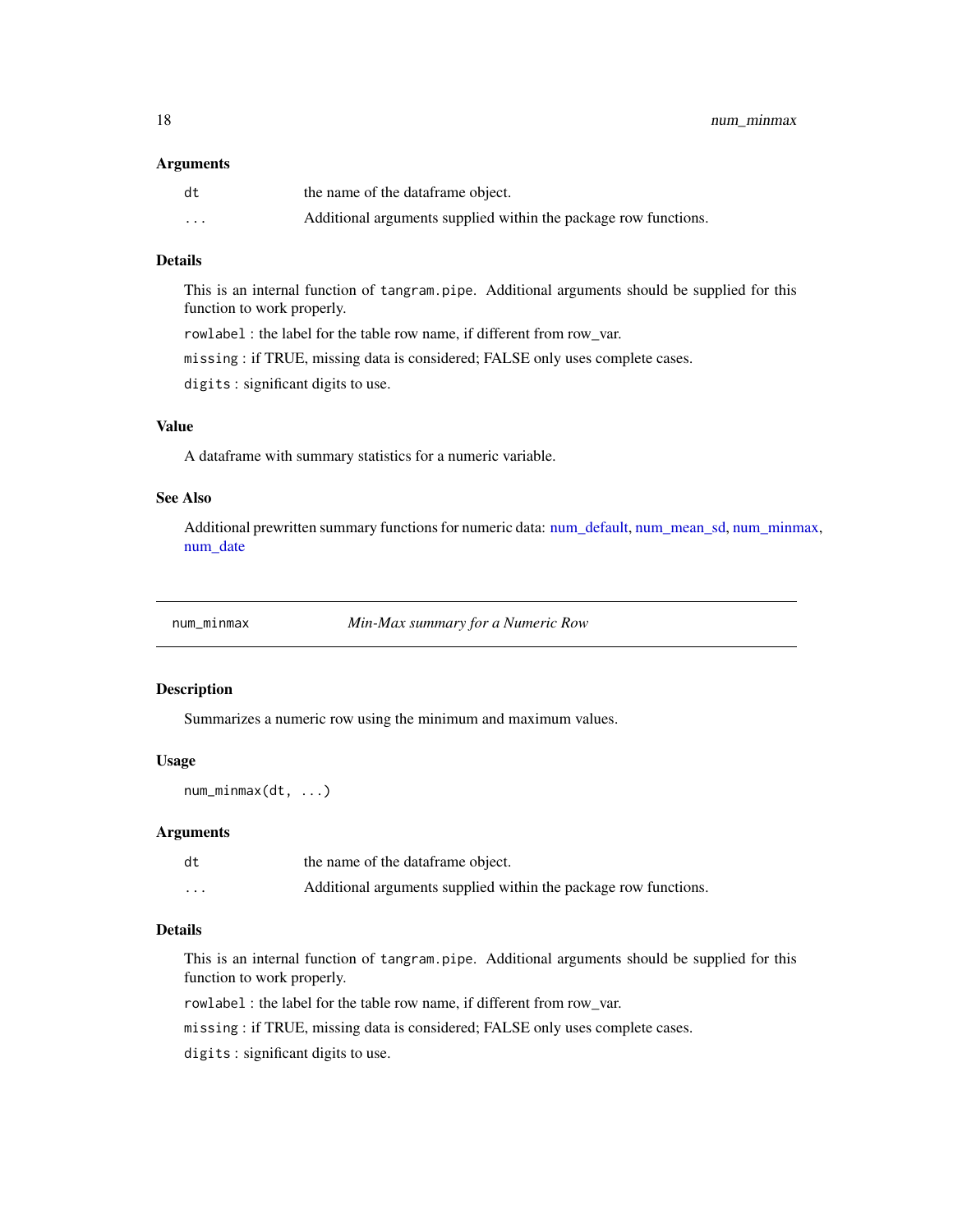#### <span id="page-17-0"></span>Arguments

| dt       | the name of the dataframe object.                               |
|----------|-----------------------------------------------------------------|
| $\cdots$ | Additional arguments supplied within the package row functions. |

# Details

This is an internal function of tangram.pipe. Additional arguments should be supplied for this function to work properly.

rowlabel : the label for the table row name, if different from row\_var.

missing : if TRUE, missing data is considered; FALSE only uses complete cases.

digits : significant digits to use.

# Value

A dataframe with summary statistics for a numeric variable.

# See Also

Additional prewritten summary functions for numeric data: [num\\_default,](#page-14-1) [num\\_mean\\_sd,](#page-16-1) [num\\_minmax,](#page-17-1) [num\\_date](#page-14-2)

<span id="page-17-1"></span>

num\_minmax *Min-Max summary for a Numeric Row*

#### Description

Summarizes a numeric row using the minimum and maximum values.

# Usage

num\_minmax(dt, ...)

#### Arguments

| dt                      | the name of the dataframe object.                               |
|-------------------------|-----------------------------------------------------------------|
| $\cdot$ $\cdot$ $\cdot$ | Additional arguments supplied within the package row functions. |

# Details

This is an internal function of tangram.pipe. Additional arguments should be supplied for this function to work properly.

rowlabel : the label for the table row name, if different from row\_var.

missing : if TRUE, missing data is considered; FALSE only uses complete cases.

digits : significant digits to use.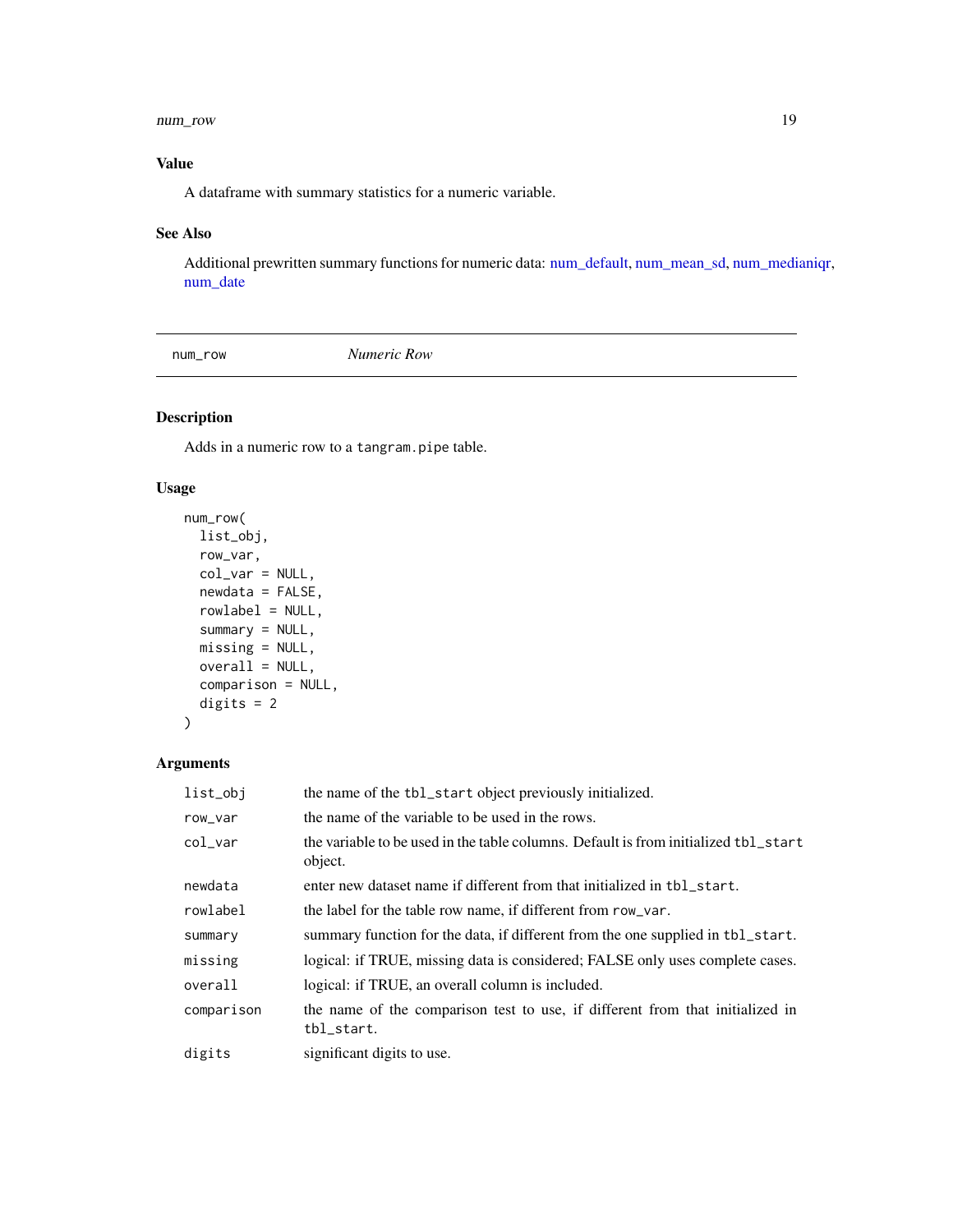#### <span id="page-18-0"></span>num\_row 19

# Value

A dataframe with summary statistics for a numeric variable.

# See Also

Additional prewritten summary functions for numeric data: [num\\_default,](#page-14-1) [num\\_mean\\_sd,](#page-16-1) [num\\_medianiqr,](#page-16-2) [num\\_date](#page-14-2)

<span id="page-18-1"></span>num\_row *Numeric Row*

# Description

Adds in a numeric row to a tangram.pipe table.

# Usage

```
num_row(
 list_obj,
  row_var,
  col_var = NULL,
 newdata = FALSE,
 rowlabel = NULL,
  summary = NULL,
 missing = NULL,
 overall = NULL,
  comparison = NULL,
 digits = 2\mathcal{L}
```

| list_obj   | the name of the tbl_start object previously initialized.                                       |
|------------|------------------------------------------------------------------------------------------------|
| row_var    | the name of the variable to be used in the rows.                                               |
| col var    | the variable to be used in the table columns. Default is from initialized tbl_start<br>object. |
| newdata    | enter new dataset name if different from that initialized in tbl_start.                        |
| rowlabel   | the label for the table row name, if different from row_var.                                   |
| summary    | summary function for the data, if different from the one supplied in tbl_start.                |
| missing    | logical: if TRUE, missing data is considered; FALSE only uses complete cases.                  |
| overall    | logical: if TRUE, an overall column is included.                                               |
| comparison | the name of the comparison test to use, if different from that initialized in<br>tbl_start.    |
| digits     | significant digits to use.                                                                     |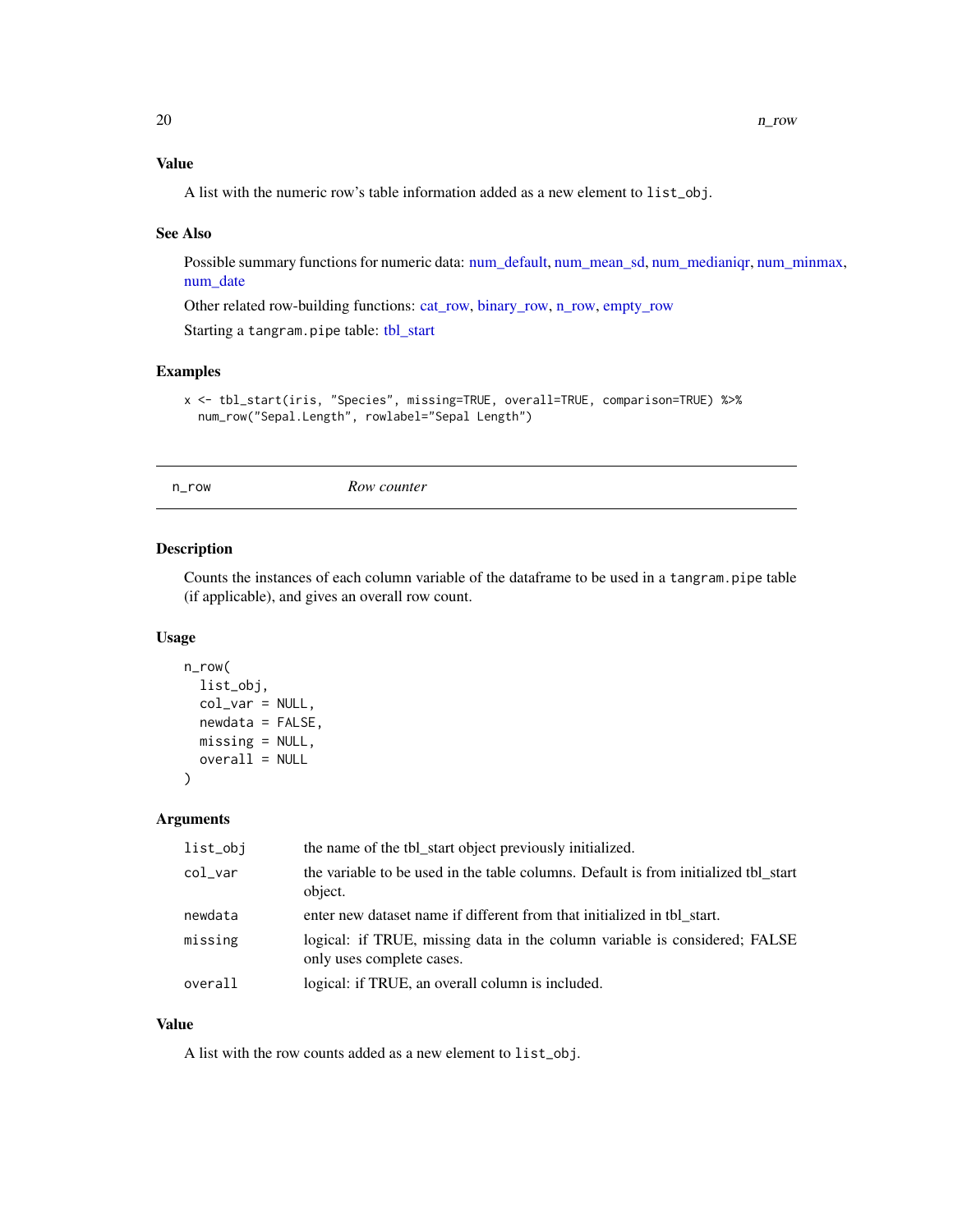# <span id="page-19-0"></span>Value

A list with the numeric row's table information added as a new element to list\_obj.

#### See Also

Possible summary functions for numeric data: [num\\_default,](#page-14-1) [num\\_mean\\_sd,](#page-16-1) [num\\_medianiqr,](#page-16-2) [num\\_minmax,](#page-17-1) [num\\_date](#page-14-2)

Other related row-building functions: [cat\\_row,](#page-12-1) [binary\\_row,](#page-6-1) [n\\_row,](#page-19-1) [empty\\_row](#page-13-1)

Starting a tangram.pipe table: [tbl\\_start](#page-22-1)

# Examples

```
x <- tbl_start(iris, "Species", missing=TRUE, overall=TRUE, comparison=TRUE) %>%
  num_row("Sepal.Length", rowlabel="Sepal Length")
```
<span id="page-19-1"></span>

n\_row *Row counter*

# Description

Counts the instances of each column variable of the dataframe to be used in a tangram.pipe table (if applicable), and gives an overall row count.

# Usage

```
n_row(
  list_obj,
  col_var = NULL,
  newdata = FALSE,missing = NULL,
  overall = NULL
\mathcal{L}
```
# Arguments

| the variable to be used in the table columns. Default is from initialized tbl_start<br>col_var<br>object.          |  |
|--------------------------------------------------------------------------------------------------------------------|--|
| enter new dataset name if different from that initialized in the start.<br>newdata                                 |  |
| missing<br>logical: if TRUE, missing data in the column variable is considered; FALSE<br>only uses complete cases. |  |
| logical: if TRUE, an overall column is included.<br>overall                                                        |  |

# Value

A list with the row counts added as a new element to list\_obj.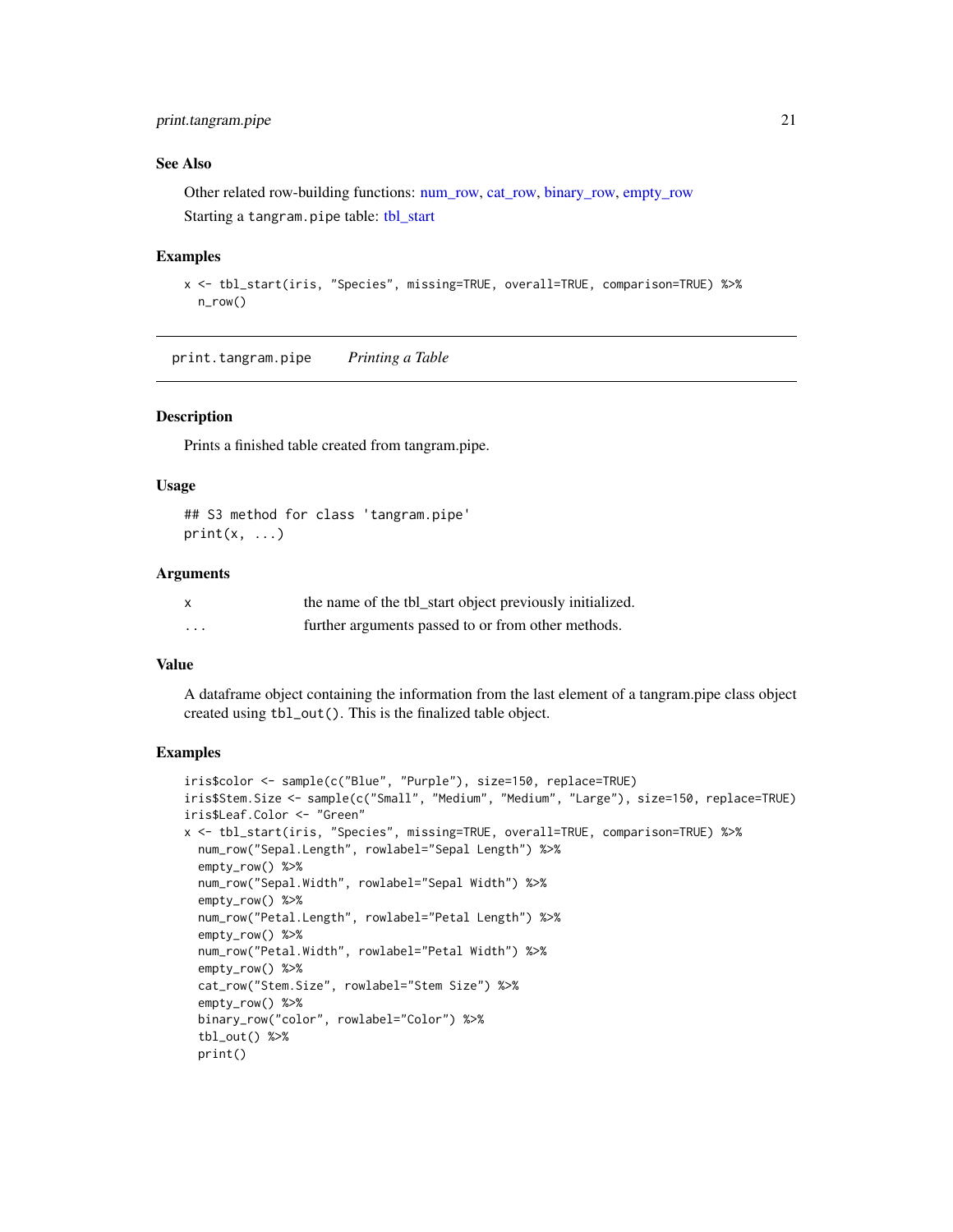# <span id="page-20-0"></span>print.tangram.pipe 21

#### See Also

Other related row-building functions: [num\\_row,](#page-18-1) [cat\\_row,](#page-12-1) [binary\\_row,](#page-6-1) [empty\\_row](#page-13-1) Starting a tangram.pipe table: [tbl\\_start](#page-22-1)

# Examples

```
x <- tbl_start(iris, "Species", missing=TRUE, overall=TRUE, comparison=TRUE) %>%
  n_row()
```
print.tangram.pipe *Printing a Table*

# Description

Prints a finished table created from tangram.pipe.

# Usage

## S3 method for class 'tangram.pipe'  $print(x, \ldots)$ 

#### Arguments

|          | the name of the tbl_start object previously initialized. |
|----------|----------------------------------------------------------|
| $\cdots$ | further arguments passed to or from other methods.       |

#### Value

A dataframe object containing the information from the last element of a tangram.pipe class object created using tbl\_out(). This is the finalized table object.

# Examples

```
iris$color <- sample(c("Blue", "Purple"), size=150, replace=TRUE)
iris$Stem.Size <- sample(c("Small", "Medium", "Medium", "Large"), size=150, replace=TRUE)
iris$Leaf.Color <- "Green"
x <- tbl_start(iris, "Species", missing=TRUE, overall=TRUE, comparison=TRUE) %>%
 num_row("Sepal.Length", rowlabel="Sepal Length") %>%
  empty_row() %>%
  num_row("Sepal.Width", rowlabel="Sepal Width") %>%
  empty_row() %>%
  num_row("Petal.Length", rowlabel="Petal Length") %>%
  empty_row() %>%
  num_row("Petal.Width", rowlabel="Petal Width") %>%
  empty_row() %>%
  cat_row("Stem.Size", rowlabel="Stem Size") %>%
  empty_row() %>%
  binary_row("color", rowlabel="Color") %>%
  tbl_out() %>%
  print()
```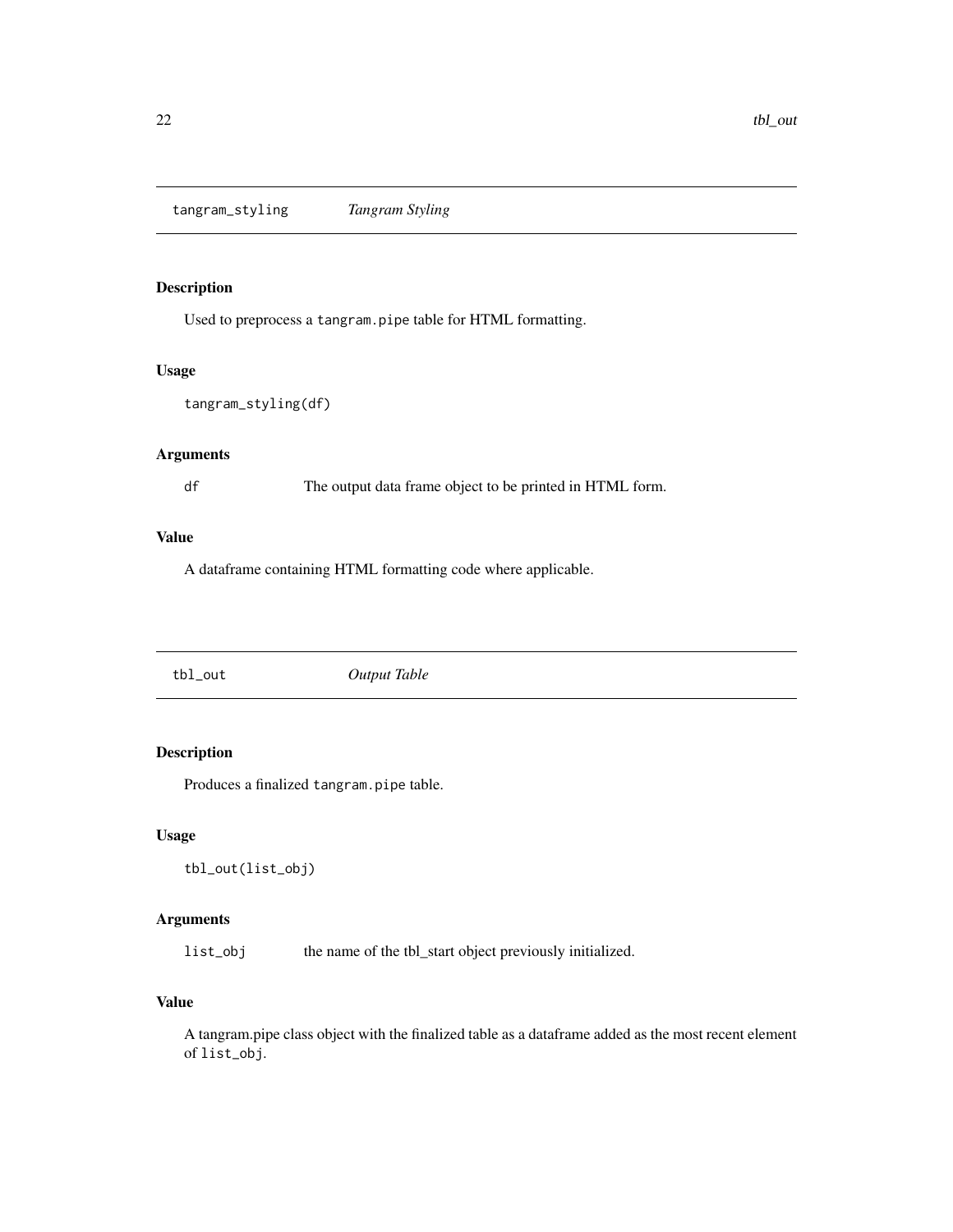<span id="page-21-0"></span>tangram\_styling *Tangram Styling*

# Description

Used to preprocess a tangram.pipe table for HTML formatting.

# Usage

```
tangram_styling(df)
```
# Arguments

df The output data frame object to be printed in HTML form.

#### Value

A dataframe containing HTML formatting code where applicable.

tbl\_out *Output Table*

# Description

Produces a finalized tangram.pipe table.

# Usage

```
tbl_out(list_obj)
```
# Arguments

list\_obj the name of the tbl\_start object previously initialized.

# Value

A tangram.pipe class object with the finalized table as a dataframe added as the most recent element of list\_obj.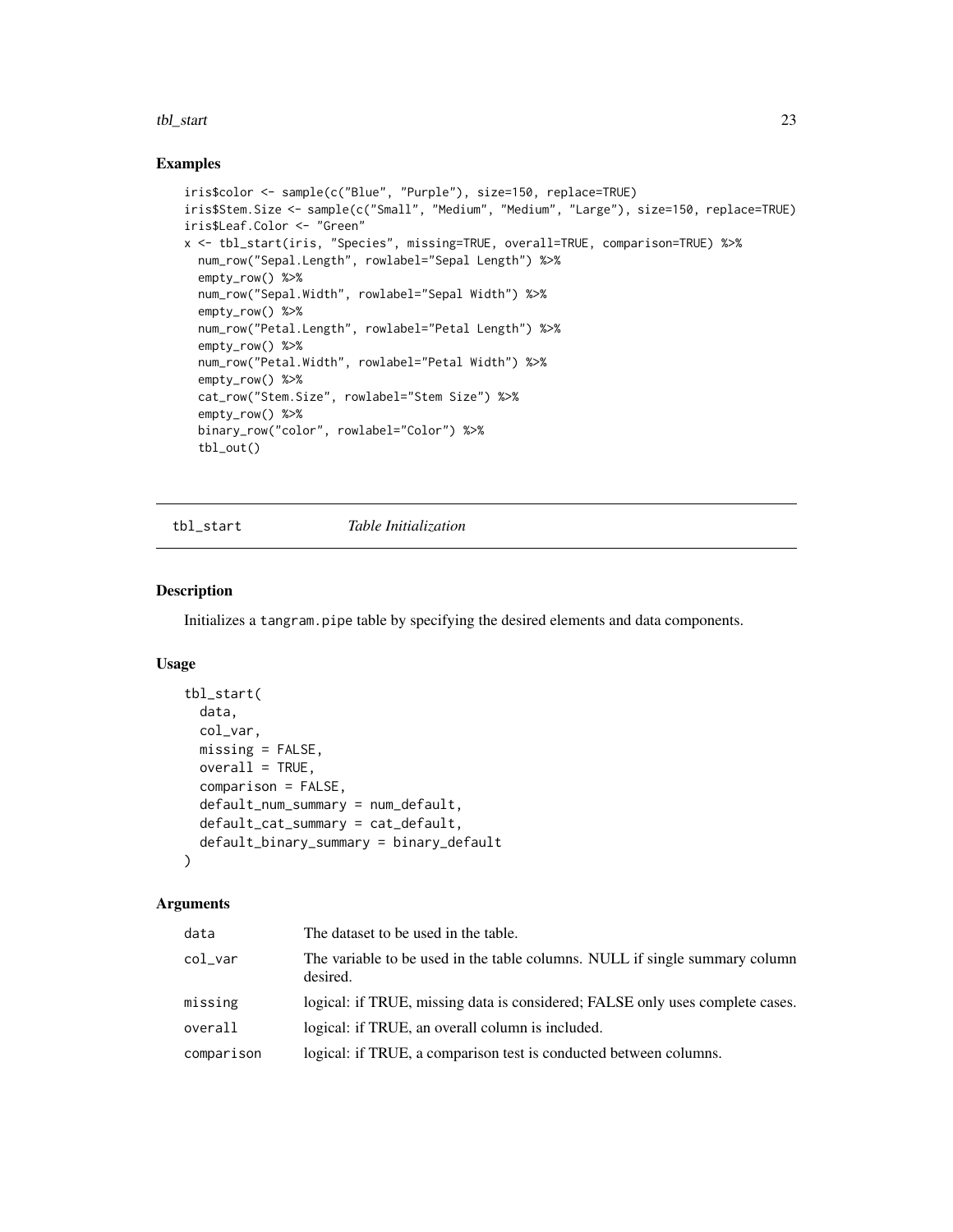#### <span id="page-22-0"></span>tbl\_start 23

# Examples

```
iris$color <- sample(c("Blue", "Purple"), size=150, replace=TRUE)
iris$Stem.Size <- sample(c("Small", "Medium", "Medium", "Large"), size=150, replace=TRUE)
iris$Leaf.Color <- "Green"
x <- tbl_start(iris, "Species", missing=TRUE, overall=TRUE, comparison=TRUE) %>%
  num_row("Sepal.Length", rowlabel="Sepal Length") %>%
  empty_row() %>%
  num_row("Sepal.Width", rowlabel="Sepal Width") %>%
  empty_row() %>%
  num_row("Petal.Length", rowlabel="Petal Length") %>%
  empty_row() %>%
  num_row("Petal.Width", rowlabel="Petal Width") %>%
  empty_row() %>%
  cat_row("Stem.Size", rowlabel="Stem Size") %>%
  empty_row() %>%
  binary_row("color", rowlabel="Color") %>%
  tbl_out()
```
<span id="page-22-1"></span>tbl\_start *Table Initialization*

# Description

Initializes a tangram.pipe table by specifying the desired elements and data components.

# Usage

```
tbl_start(
  data,
  col_var,
 missing = FALSE,
 overall = TRUE,comparison = FALSE,
  default_num_summary = num_default,
 default_cat_summary = cat_default,
  default_binary_summary = binary_default
\lambda
```

| data       | The dataset to be used in the table.                                                    |
|------------|-----------------------------------------------------------------------------------------|
| col_var    | The variable to be used in the table columns. NULL if single summary column<br>desired. |
| missing    | logical: if TRUE, missing data is considered; FALSE only uses complete cases.           |
| overall    | logical: if TRUE, an overall column is included.                                        |
| comparison | logical: if TRUE, a comparison test is conducted between columns.                       |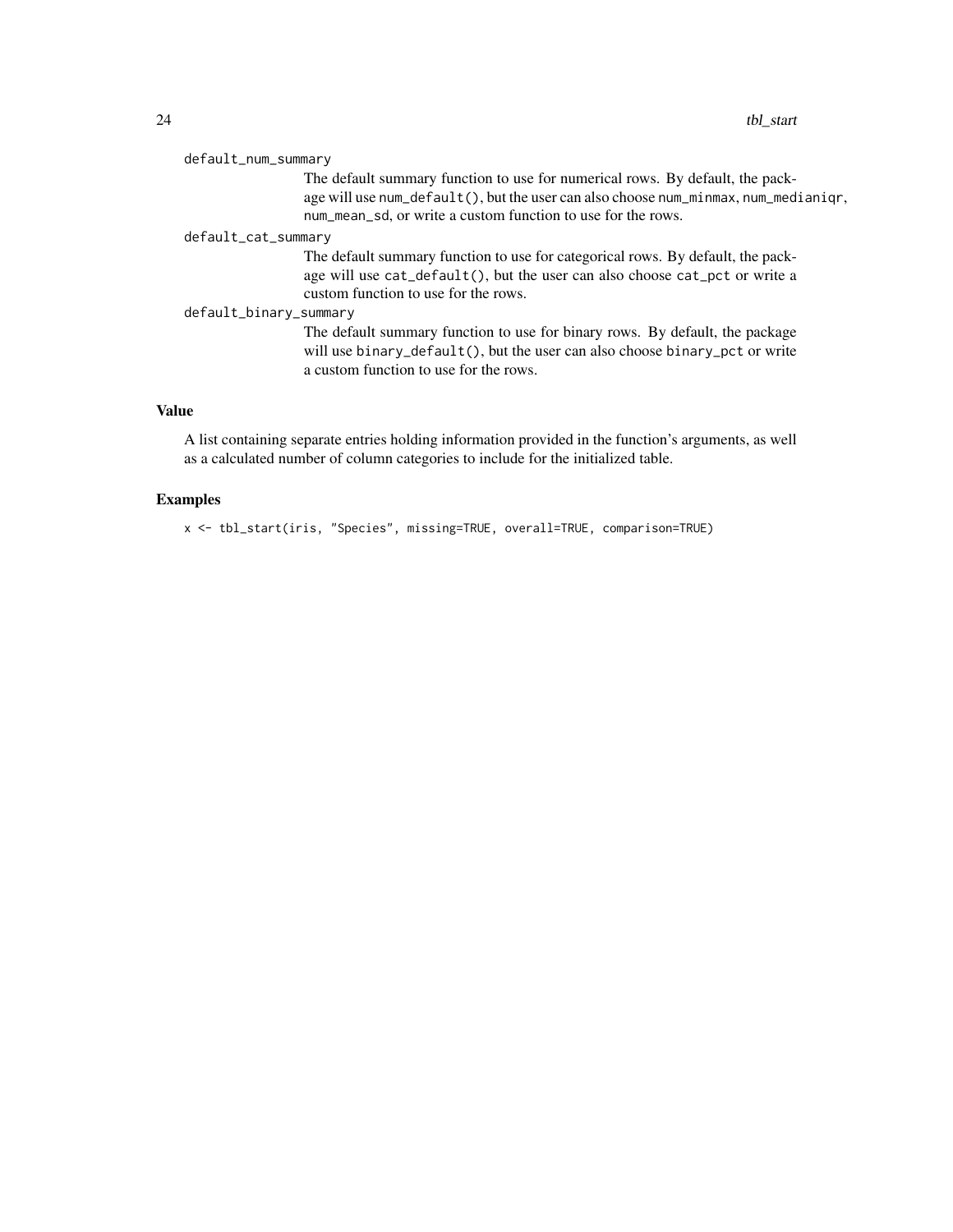| default_num_summary                                                                                                                                                                                                                  |
|--------------------------------------------------------------------------------------------------------------------------------------------------------------------------------------------------------------------------------------|
| The default summary function to use for numerical rows. By default, the pack-<br>age will use num_default(), but the user can also choose num_minmax, num_medianiqr,<br>num mean sd, or write a custom function to use for the rows. |
| default_cat_summary                                                                                                                                                                                                                  |
| The default summary function to use for categorical rows. By default, the pack-<br>age will use cat_default(), but the user can also choose cat_pct or write a<br>custom function to use for the rows.                               |
| default_binary_summary                                                                                                                                                                                                               |
| The default summary function to use for binary rows. By default, the package<br>will use binary_default(), but the user can also choose binary_pct or write<br>a custom function to use for the rows.                                |

# Value

A list containing separate entries holding information provided in the function's arguments, as well as a calculated number of column categories to include for the initialized table.

# Examples

x <- tbl\_start(iris, "Species", missing=TRUE, overall=TRUE, comparison=TRUE)